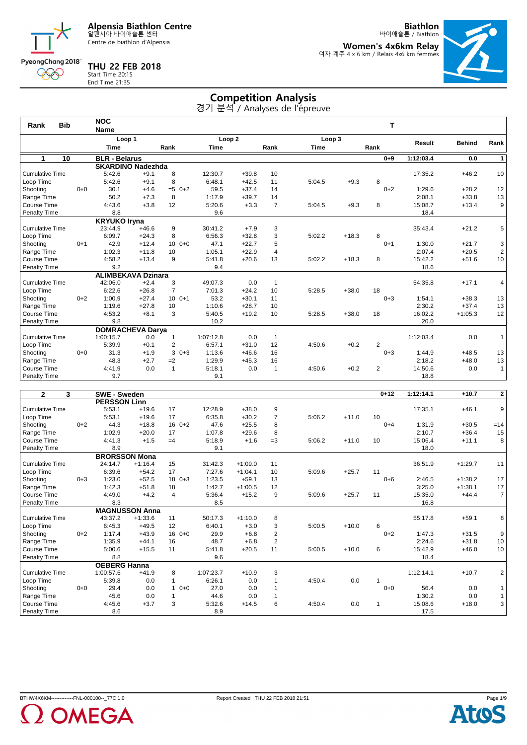Centre de biathlon d'Alpensia

**Biathlon**

바이애슬론 / Biathlon **Women's 4x6km Relay** 여자 계주 4 x 6 km / Relais 4x6 km femmes

### **THU 22 FEB 2018**



Start Time 20:15 End Time 21:35

## **Competition Analysis**

| <b>Bib</b><br>Rank     |         | <b>NOC</b>           |                           |                |                   |         |                |             |         | т              |           |               |                |
|------------------------|---------|----------------------|---------------------------|----------------|-------------------|---------|----------------|-------------|---------|----------------|-----------|---------------|----------------|
|                        |         | <b>Name</b>          |                           |                |                   |         |                |             |         |                |           |               |                |
|                        |         | Loop 1               |                           |                | Loop <sub>2</sub> |         |                | Loop 3      |         |                | Result    | <b>Behind</b> | Rank           |
|                        |         | <b>Time</b>          |                           | Rank           | <b>Time</b>       |         | Rank           | <b>Time</b> |         | Rank           |           |               |                |
| 1                      | 10      | <b>BLR</b> - Belarus |                           |                |                   |         |                |             |         | $0 + 9$        | 1:12:03.4 | 0.0           | 1              |
|                        |         |                      | <b>SKARDINO Nadezhda</b>  |                |                   |         |                |             |         |                |           |               |                |
| <b>Cumulative Time</b> |         | 5:42.6               | $+9.1$                    | 8              | 12:30.7           | $+39.8$ | 10             |             |         |                | 17:35.2   | $+46.2$       | 10             |
| Loop Time              |         | 5:42.6               | $+9.1$                    | 8              | 6:48.1            | $+42.5$ | 11             | 5:04.5      | $+9.3$  | 8              |           |               |                |
| Shooting               | $0 + 0$ | 30.1                 | $+4.6$                    | $=5$ 0+2       | 59.5              | $+37.4$ | 14             |             |         | $0 + 2$        | 1:29.6    | $+28.2$       | 12             |
| Range Time             |         | 50.2                 | $+7.3$                    | 8              | 1:17.9            | $+39.7$ | 14             |             |         |                | 2:08.1    | $+33.8$       | 13             |
| Course Time            |         | 4:43.6               | $+3.8$                    | 12             | 5:20.6            | $+3.3$  | $\overline{7}$ | 5:04.5      | $+9.3$  | 8              | 15:08.7   | $+13.4$       | 9              |
| Penalty Time           |         | 8.8                  |                           |                | 9.6               |         |                |             |         |                | 18.4      |               |                |
|                        |         | <b>KRYUKO Iryna</b>  |                           |                |                   |         |                |             |         |                |           |               |                |
| <b>Cumulative Time</b> |         | 23:44.9              | $+46.6$                   | 9              | 30:41.2           | $+7.9$  | 3              |             |         |                | 35:43.4   | $+21.2$       | 5              |
| Loop Time              |         | 6:09.7               | $+24.3$                   | 8              | 6:56.3            | $+32.8$ | 3              | 5:02.2      | $+18.3$ | 8              |           |               |                |
| Shooting               | $0 + 1$ | 42.9                 | $+12.4$                   | $100 + 0$      | 47.1              | $+22.7$ | 5              |             |         | $0 + 1$        | 1:30.0    | $+21.7$       | 3              |
| Range Time             |         | 1:02.3               | $+11.8$                   | 10             | 1:05.1            | $+22.9$ | $\overline{4}$ |             |         |                | 2:07.4    | $+20.5$       | $\overline{2}$ |
| Course Time            |         | 4:58.2               | $+13.4$                   | 9              | 5:41.8            | $+20.6$ | 13             | 5:02.2      | $+18.3$ | 8              | 15:42.2   | $+51.6$       | 10             |
| Penalty Time           |         | 9.2                  |                           |                | 9.4               |         |                |             |         |                | 18.6      |               |                |
|                        |         |                      | <b>ALIMBEKAVA Dzinara</b> |                |                   |         |                |             |         |                |           |               |                |
| <b>Cumulative Time</b> |         | 42:06.0              | $+2.4$                    | 3              | 49:07.3           | 0.0     | $\mathbf{1}$   |             |         |                | 54:35.8   | $+17.1$       | 4              |
| Loop Time              |         | 6:22.6               | $+26.8$                   | $\overline{7}$ | 7:01.3            | $+24.2$ | 10             | 5:28.5      | $+38.0$ | 18             |           |               |                |
| Shooting               | $0 + 2$ | 1:00.9               | $+27.4$                   | $100 + 1$      | 53.2              | $+30.1$ | 11             |             |         | $0 + 3$        | 1:54.1    | $+38.3$       | 13             |
| Range Time             |         | 1:19.6               | $+27.8$                   | 10             | 1:10.6            | $+28.7$ | 10             |             |         |                | 2:30.2    | $+37.4$       | 13             |
| Course Time            |         | 4:53.2               | $+8.1$                    | 3              | 5:40.5            | $+19.2$ | 10             | 5:28.5      | $+38.0$ | 18             | 16:02.2   | $+1:05.3$     | 12             |
| Penalty Time           |         | 9.8                  |                           |                | 10.2              |         |                |             |         |                | 20.0      |               |                |
|                        |         |                      | <b>DOMRACHEVA Darya</b>   |                |                   |         |                |             |         |                |           |               |                |
| <b>Cumulative Time</b> |         | 1:00:15.7            | 0.0                       | 1              | 1:07:12.8         | 0.0     | 1              |             |         |                | 1:12:03.4 | 0.0           | $\mathbf{1}$   |
| Loop Time              |         | 5:39.9               | $+0.1$                    | $\overline{2}$ | 6:57.1            | $+31.0$ | 12             | 4:50.6      | $+0.2$  | $\overline{2}$ |           |               |                |
| Shooting               | $0 + 0$ | 31.3                 | $+1.9$                    | 3<br>$0 + 3$   | 1:13.6            | $+46.6$ | 16             |             |         | $0 + 3$        | 1:44.9    | $+48.5$       | 13             |
| Range Time             |         | 48.3                 | $+2.7$                    | $=2$           | 1:29.9            | $+45.3$ | 16             |             |         |                | 2:18.2    | $+48.0$       | 13             |
| Course Time            |         | 4:41.9               | 0.0                       | $\mathbf{1}$   | 5:18.1            | 0.0     | $\mathbf{1}$   | 4:50.6      | $+0.2$  | $\overline{2}$ | 14:50.6   | 0.0           | $\mathbf{1}$   |
| <b>Penalty Time</b>    |         | 9.7                  |                           |                | 9.1               |         |                |             |         |                | 18.8      |               |                |
|                        |         |                      |                           |                |                   |         |                |             |         |                |           |               |                |

| $\mathbf{2}$<br>3      |         | <b>SWE - Sweden</b>  |                       |                |           |           |                |        |         | $0 + 12$ | 1:12:14.1 | $+10.7$   | $\mathbf{2}$   |
|------------------------|---------|----------------------|-----------------------|----------------|-----------|-----------|----------------|--------|---------|----------|-----------|-----------|----------------|
|                        |         | <b>PERSSON Linn</b>  |                       |                |           |           |                |        |         |          |           |           |                |
| <b>Cumulative Time</b> |         | 5:53.1               | $+19.6$               | 17             | 12:28.9   | $+38.0$   | 9              |        |         |          | 17:35.1   | $+46.1$   | 9              |
| Loop Time              |         | 5:53.1               | $+19.6$               | 17             | 6:35.8    | $+30.2$   | $\overline{7}$ | 5:06.2 | $+11.0$ | 10       |           |           |                |
| Shooting               | $0 + 2$ | 44.3                 | $+18.8$               | 16<br>$0 + 2$  | 47.6      | $+25.5$   | 8              |        |         | $0 + 4$  | 1:31.9    | $+30.5$   | $=14$          |
| Range Time             |         | 1:02.9               | $+20.0$               | 17             | 1:07.8    | $+29.6$   | 8              |        |         |          | 2:10.7    | $+36.4$   | 15             |
| Course Time            |         | 4:41.3               | $+1.5$                | $=4$           | 5:18.9    | $+1.6$    | $=3$           | 5:06.2 | $+11.0$ | 10       | 15:06.4   | $+11.1$   | 8              |
| Penalty Time           |         | 8.9                  |                       |                | 9.1       |           |                |        |         |          | 18.0      |           |                |
|                        |         | <b>BRORSSON Mona</b> |                       |                |           |           |                |        |         |          |           |           |                |
| <b>Cumulative Time</b> |         | 24:14.7              | $+1:16.4$             | 15             | 31:42.3   | $+1:09.0$ | 11             |        |         |          | 36:51.9   | $+1:29.7$ | 11             |
| Loop Time              |         | 6:39.6               | $+54.2$               | 17             | 7:27.6    | $+1:04.1$ | 10             | 5:09.6 | $+25.7$ | 11       |           |           |                |
| Shooting               | $0 + 3$ | 1:23.0               | $+52.5$               | $180+3$        | 1:23.5    | $+59.1$   | 13             |        |         | $0 + 6$  | 2:46.5    | $+1:38.2$ | 17             |
| Range Time             |         | 1:42.3               | $+51.8$               | 18             | 1:42.7    | $+1:00.5$ | 12             |        |         |          | 3:25.0    | $+1:38.1$ | 17             |
| Course Time            |         | 4:49.0               | $+4.2$                | $\overline{4}$ | 5:36.4    | $+15.2$   | 9              | 5:09.6 | $+25.7$ | 11       | 15:35.0   | $+44.4$   | $\overline{7}$ |
| <b>Penalty Time</b>    |         | 8.3                  |                       |                | 8.5       |           |                |        |         |          | 16.8      |           |                |
|                        |         |                      | <b>MAGNUSSON Anna</b> |                |           |           |                |        |         |          |           |           |                |
| <b>Cumulative Time</b> |         | 43:37.2              | $+1:33.6$             | 11             | 50:17.3   | $+1:10.0$ | 8              |        |         |          | 55:17.8   | $+59.1$   | 8              |
| Loop Time              |         | 6:45.3               | $+49.5$               | 12             | 6:40.1    | $+3.0$    | 3              | 5:00.5 | $+10.0$ | 6        |           |           |                |
| Shooting               | $0 + 2$ | 1:17.4               | $+43.9$               | $160+0$        | 29.9      | $+6.8$    | $\overline{2}$ |        |         | $0 + 2$  | 1:47.3    | $+31.5$   | 9              |
| Range Time             |         | 1:35.9               | $+44.1$               | 16             | 48.7      | $+6.8$    | $\overline{2}$ |        |         |          | 2:24.6    | $+31.8$   | 10             |
| Course Time            |         | 5:00.6               | $+15.5$               | 11             | 5:41.8    | $+20.5$   | 11             | 5:00.5 | $+10.0$ | 6        | 15:42.9   | $+46.0$   | 10             |
| Penalty Time           |         | 8.8                  |                       |                | 9.6       |           |                |        |         |          | 18.4      |           |                |
|                        |         | <b>OEBERG Hanna</b>  |                       |                |           |           |                |        |         |          |           |           |                |
| <b>Cumulative Time</b> |         | 1:00:57.6            | $+41.9$               | 8              | 1:07:23.7 | $+10.9$   | 3              |        |         |          | 1:12:14.1 | $+10.7$   | $\overline{2}$ |
| Loop Time              |         | 5:39.8               | 0.0                   | 1              | 6:26.1    | 0.0       |                | 4:50.4 | 0.0     |          |           |           |                |
| Shooting               | $0 + 0$ | 29.4                 | 0.0                   | $0 + 0$<br>1   | 27.0      | 0.0       |                |        |         | $0 + 0$  | 56.4      | 0.0       | 1              |
| Range Time             |         | 45.6                 | 0.0                   | 1              | 44.6      | 0.0       |                |        |         |          | 1:30.2    | 0.0       | $\mathbf{1}$   |
| Course Time            |         | 4:45.6               | $+3.7$                | 3              | 5:32.6    | $+14.5$   | 6              | 4:50.4 | 0.0     | 1        | 15:08.6   | $+18.0$   | 3              |
| <b>Penalty Time</b>    |         | 8.6                  |                       |                | 8.9       |           |                |        |         |          | 17.5      |           |                |



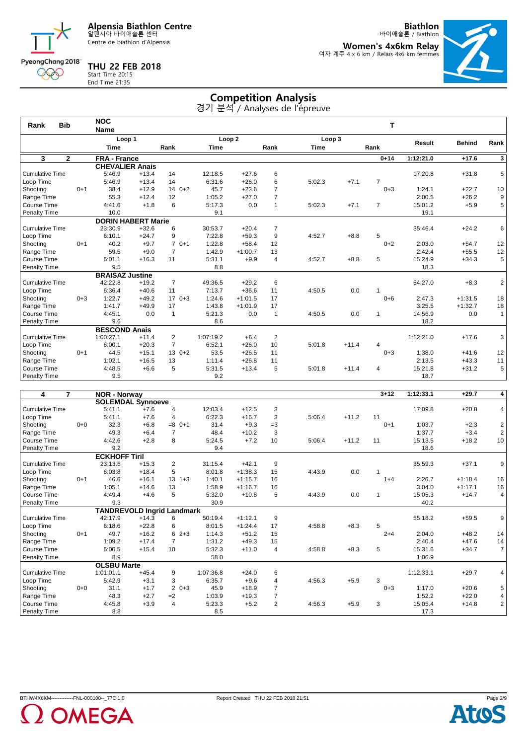Centre de biathlon d'Alpensia

**THU 22 FEB 2018**

End Time 21:35

PyeongChang 2018 000

**Biathlon** 바이애슬론 / Biathlon

**Women's 4x6km Relay** 여자 계주 4 x 6 km / Relais 4x6 km femmes



# Start Time 20:15

## **Competition Analysis**

| 경기 분석 / Analyses de l'épreuve |  |  |  |
|-------------------------------|--|--|--|
|-------------------------------|--|--|--|

|                        |            | <b>Name</b> |         |                                                                                                           |                           |           |                              |             |         |                  |           |           |                             |
|------------------------|------------|-------------|---------|-----------------------------------------------------------------------------------------------------------|---------------------------|-----------|------------------------------|-------------|---------|------------------|-----------|-----------|-----------------------------|
|                        |            |             |         |                                                                                                           |                           |           |                              |             |         |                  |           |           | Rank                        |
|                        |            | <b>Time</b> |         | Rank                                                                                                      | <b>Time</b>               |           | Rank                         | <b>Time</b> |         |                  |           |           |                             |
| $\overline{2}$         |            |             |         |                                                                                                           |                           |           |                              |             |         | $0 + 14$         | 1:12:21.0 | $+17.6$   | $\overline{\mathbf{3}}$     |
|                        |            |             |         |                                                                                                           |                           |           |                              |             |         |                  |           |           |                             |
| Cumulative Time        |            | 5:46.9      | $+13.4$ | 14                                                                                                        | 12:18.5                   | $+27.6$   | 6                            |             |         |                  | 17:20.8   | $+31.8$   | 5                           |
|                        |            | 5:46.9      | $+13.4$ | 14                                                                                                        | 6:31.6                    |           | 6                            |             |         | 7                |           |           |                             |
|                        | $0 + 1$    | 38.4        | $+12.9$ | $140+2$                                                                                                   | 45.7                      | $+23.6$   | $\overline{7}$               |             |         | $0 + 3$          | 1:24.1    | $+22.7$   | 10                          |
| Range Time             |            | 55.3        | $+12.4$ | 12                                                                                                        | 1:05.2                    | $+27.0$   | $\overline{7}$               |             |         |                  | 2:00.5    | $+26.2$   | 9                           |
| Course Time            |            | 4:41.6      | $+1.8$  | 6                                                                                                         | 5:17.3                    | 0.0       | 1                            | 5:02.3      | $+7.1$  | 7                | 15:01.2   | $+5.9$    | 5                           |
| Penalty Time           |            | 10.0        |         |                                                                                                           | 9.1                       |           |                              |             |         |                  | 19.1      |           |                             |
|                        |            |             |         |                                                                                                           |                           |           |                              |             |         |                  |           |           |                             |
| Cumulative Time        |            | 23:30.9     | $+32.6$ | 6                                                                                                         | 30:53.7                   | $+20.4$   | $\overline{7}$               |             |         |                  | 35:46.4   | $+24.2$   | 6                           |
|                        |            | 6:10.1      | $+24.7$ | 9                                                                                                         | 7:22.8                    | $+59.3$   | 9                            | 4:52.7      | $+8.8$  | 5                |           |           |                             |
|                        | $0 + 1$    | 40.2        | $+9.7$  | $70+1$                                                                                                    | 1:22.8                    | $+58.4$   | 12                           |             |         | $0 + 2$          | 2:03.0    | $+54.7$   | 12                          |
| Range Time             |            | 59.5        | $+9.0$  | $\overline{7}$                                                                                            | 1:42.9                    | $+1:00.7$ | 13                           |             |         |                  | 2:42.4    | $+55.5$   | 12                          |
| Course Time            |            | 5:01.1      | $+16.3$ | 11                                                                                                        | 5:31.1                    | $+9.9$    | $\overline{4}$               | 4:52.7      | $+8.8$  | 5                | 15:24.9   | $+34.3$   | 5                           |
| Penalty Time           |            | 9.5         |         |                                                                                                           | 8.8                       |           |                              |             |         |                  | 18.3      |           |                             |
|                        |            |             |         |                                                                                                           |                           |           |                              |             |         |                  |           |           |                             |
| <b>Cumulative Time</b> |            | 42:22.8     | $+19.2$ | $\overline{7}$                                                                                            | 49:36.5                   | $+29.2$   | 6                            |             |         |                  | 54:27.0   | $+8.3$    | $\overline{\mathbf{c}}$     |
|                        |            | 6:36.4      | $+40.6$ | 11                                                                                                        | 7:13.7                    | $+36.6$   | 11                           | 4:50.5      | 0.0     |                  |           |           |                             |
|                        | $0 + 3$    | 1:22.7      | $+49.2$ | $170+3$                                                                                                   | 1:24.6                    | $+1:01.5$ | 17                           |             |         | $0 + 6$          | 2:47.3    | $+1:31.5$ | 18                          |
| Range Time             |            | 1:41.7      | $+49.9$ | 17                                                                                                        | 1:43.8                    | $+1:01.9$ | 17                           |             |         |                  | 3:25.5    | $+1:32.7$ | 18                          |
| Course Time            |            | 4:45.1      | 0.0     | $\overline{1}$                                                                                            | 5:21.3                    | 0.0       | $\mathbf{1}$                 | 4:50.5      | 0.0     | 1                | 14:56.9   | 0.0       | $\mathbf{1}$                |
| Penalty Time           |            | 9.6         |         |                                                                                                           | 8.6                       |           |                              |             |         |                  | 18.2      |           |                             |
|                        |            |             |         |                                                                                                           |                           |           |                              |             |         |                  |           |           |                             |
| <b>Cumulative Time</b> |            | 1:00:27.1   | $+11.4$ | $\overline{2}$                                                                                            | 1:07:19.2                 | $+6.4$    | $\overline{2}$               |             |         |                  | 1:12:21.0 | $+17.6$   | 3                           |
|                        |            | 6:00.1      | $+20.3$ | $\overline{7}$                                                                                            | 6:52.1                    | $+26.0$   | 10                           | 5:01.8      | $+11.4$ | 4                |           |           |                             |
|                        | $0 + 1$    | 44.5        | $+15.1$ | $130+2$                                                                                                   | 53.5                      | $+26.5$   | 11                           |             |         | $0 + 3$          | 1:38.0    | $+41.6$   | 12                          |
| Range Time             |            | 1:02.1      | $+16.5$ | 13                                                                                                        | 1:11.4                    | $+26.8$   | 11                           |             |         |                  | 2:13.5    | $+43.3$   | 11                          |
| Course Time            |            | 4:48.5      | $+6.6$  | 5                                                                                                         | 5:31.5                    | $+13.4$   | 5                            | 5:01.8      | $+11.4$ | 4                | 15:21.8   | $+31.2$   | 5                           |
| Penalty Time           |            | 9.5         |         |                                                                                                           | 9.2                       |           |                              |             |         |                  | 18.7      |           |                             |
|                        | <b>Bib</b> |             |         | Loop 1<br><b>FRA - France</b><br><b>CHEVALIER Anais</b><br><b>BRAISAZ Justine</b><br><b>BESCOND Anais</b> | <b>DORIN HABERT Marie</b> |           | Loop <sub>2</sub><br>$+26.0$ |             | 5:02.3  | Loop 3<br>$+7.1$ | т<br>Rank | Result    | <b>NOC</b><br><b>Behind</b> |

| $\overline{7}$<br>4    |         | <b>NOR - Norway</b>  |                                   |                           |           |           |                |        |         | $3 + 12$ | 1:12:33.1 | $+29.7$   | 4                       |
|------------------------|---------|----------------------|-----------------------------------|---------------------------|-----------|-----------|----------------|--------|---------|----------|-----------|-----------|-------------------------|
|                        |         |                      | <b>SOLEMDAL Synnoeve</b>          |                           |           |           |                |        |         |          |           |           |                         |
| <b>Cumulative Time</b> |         | 5:41.1               | $+7.6$                            | 4                         | 12:03.4   | $+12.5$   | 3              |        |         |          | 17:09.8   | $+20.8$   | 4                       |
| Loop Time              |         | 5:41.1               | $+7.6$                            | 4                         | 6:22.3    | $+16.7$   | 3              | 5:06.4 | $+11.2$ | 11       |           |           |                         |
| Shooting               | $0 + 0$ | 32.3                 | $+6.8$                            | $=8$<br>$0+1$             | 31.4      | $+9.3$    | $=3$           |        |         | $0 + 1$  | 1:03.7    | $+2.3$    | $\overline{\mathbf{c}}$ |
| Range Time             |         | 49.3                 | $+6.4$                            | $\overline{7}$            | 48.4      | $+10.2$   | 3              |        |         |          | 1:37.7    | $+3.4$    | $\sqrt{2}$              |
| Course Time            |         | 4:42.6               | $+2.8$                            | 8                         | 5:24.5    | $+7.2$    | 10             | 5:06.4 | $+11.2$ | 11       | 15:13.5   | $+18.2$   | 10                      |
| Penalty Time           |         | 9.2                  |                                   |                           | 9.4       |           |                |        |         |          | 18.6      |           |                         |
|                        |         | <b>ECKHOFF Tiril</b> |                                   |                           |           |           |                |        |         |          |           |           |                         |
| <b>Cumulative Time</b> |         | 23:13.6              | $+15.3$                           | 2                         | 31:15.4   | $+42.1$   | 9              |        |         |          | 35:59.3   | $+37.1$   | 9                       |
| Loop Time              |         | 6:03.8               | $+18.4$                           | 5                         | 8:01.8    | $+1:38.3$ | 15             | 4:43.9 | 0.0     |          |           |           |                         |
| Shooting               | $0+1$   | 46.6                 | $+16.1$                           | 13<br>$1 + 3$             | 1:40.1    | $+1:15.7$ | 16             |        |         | $1+4$    | 2:26.7    | $+1:18.4$ | 16                      |
| Range Time             |         | 1:05.1               | $+14.6$                           | 13                        | 1:58.9    | $+1:16.7$ | 16             |        |         |          | 3:04.0    | $+1:17.1$ | 16                      |
| Course Time            |         | 4:49.4               | $+4.6$                            | 5                         | 5:32.0    | $+10.8$   | 5              | 4:43.9 | 0.0     | 1        | 15:05.3   | $+14.7$   | 4                       |
| Penalty Time           |         | 9.3                  |                                   |                           | 30.9      |           |                |        |         |          | 40.2      |           |                         |
|                        |         |                      | <b>TANDREVOLD Ingrid Landmark</b> |                           |           |           |                |        |         |          |           |           |                         |
| <b>Cumulative Time</b> |         | 42:17.9              | $+14.3$                           | 6                         | 50:19.4   | $+1:12.1$ | 9              |        |         |          | 55:18.2   | $+59.5$   | 9                       |
| Loop Time              |         | 6:18.6               | $+22.8$                           | 6                         | 8:01.5    | $+1:24.4$ | 17             | 4:58.8 | $+8.3$  | 5        |           |           |                         |
| Shooting               | $0+1$   | 49.7                 | $+16.2$                           | $2 + 3$<br>6              | 1:14.3    | $+51.2$   | 15             |        |         | $2 + 4$  | 2:04.0    | $+48.2$   | 14                      |
| Range Time             |         | 1:09.2               | $+17.4$                           | $\overline{7}$            | 1:31.2    | $+49.3$   | 15             |        |         |          | 2:40.4    | $+47.6$   | 14                      |
| Course Time            |         | 5:00.5               | $+15.4$                           | 10                        | 5:32.3    | $+11.0$   | 4              | 4:58.8 | $+8.3$  | 5        | 15:31.6   | $+34.7$   | $\overline{7}$          |
| Penalty Time           |         | 8.9                  |                                   |                           | 58.0      |           |                |        |         |          | 1:06.9    |           |                         |
|                        |         | <b>OLSBU Marte</b>   |                                   |                           |           |           |                |        |         |          |           |           |                         |
| <b>Cumulative Time</b> |         | 1:01:01.1            | $+45.4$                           | 9                         | 1:07:36.8 | $+24.0$   | 6              |        |         |          | 1:12:33.1 | $+29.7$   | 4                       |
| Loop Time              |         | 5:42.9               | $+3.1$                            | 3                         | 6:35.7    | $+9.6$    | 4              | 4:56.3 | $+5.9$  | 3        |           |           |                         |
| Shooting               | $0 + 0$ | 31.1                 | $+1.7$                            | $\overline{2}$<br>$0 + 3$ | 45.9      | $+18.9$   | $\overline{7}$ |        |         | $0 + 3$  | 1:17.0    | $+20.6$   | 5                       |
| Range Time             |         | 48.3                 | $+2.7$                            | $=2$                      | 1:03.9    | $+19.3$   | $\overline{7}$ |        |         |          | 1:52.2    | $+22.0$   | $\overline{4}$          |
| Course Time            |         | 4:45.8               | $+3.9$                            | 4                         | 5:23.3    | $+5.2$    | $\overline{2}$ | 4:56.3 | $+5.9$  | 3        | 15:05.4   | $+14.8$   | $\overline{2}$          |
| <b>Penalty Time</b>    |         | 8.8                  |                                   |                           | 8.5       |           |                |        |         |          | 17.3      |           |                         |



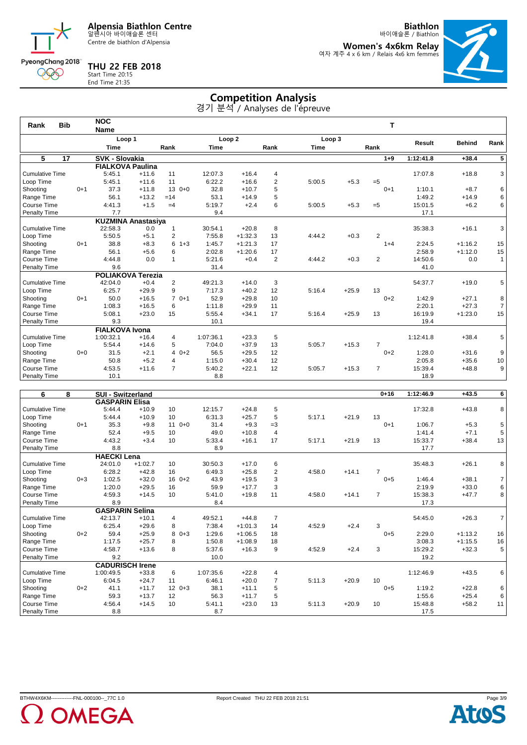Centre de biathlon d'Alpensia

**THU 22 FEB 2018**

End Time 21:35

PyeongChang 2018 000

**Biathlon**

바이애슬론 / Biathlon **Women's 4x6km Relay** 여자 계주 4 x 6 km / Relais 4x6 km femmes



# Start Time 20:15

### **Competition Analysis**

| Rank                   | <b>Bib</b>      |         | <b>NOC</b>                |         |                         |                   |           |                |             |         | т              |           |               |                |
|------------------------|-----------------|---------|---------------------------|---------|-------------------------|-------------------|-----------|----------------|-------------|---------|----------------|-----------|---------------|----------------|
|                        |                 |         | <b>Name</b>               |         |                         |                   |           |                |             |         |                |           |               |                |
|                        |                 |         | Loop 1                    |         |                         | Loop <sub>2</sub> |           |                | Loop 3      |         |                | Result    | <b>Behind</b> | Rank           |
|                        |                 |         | <b>Time</b>               |         | Rank                    | <b>Time</b>       |           | Rank           | <b>Time</b> |         | Rank           |           |               |                |
| 5                      | $\overline{17}$ |         | <b>SVK - Slovakia</b>     |         |                         |                   |           |                |             |         | $1 + 9$        | 1:12:41.8 | $+38.4$       | $\overline{5}$ |
|                        |                 |         | <b>FIALKOVA Paulina</b>   |         |                         |                   |           |                |             |         |                |           |               |                |
| <b>Cumulative Time</b> |                 |         | 5:45.1                    | $+11.6$ | 11                      | 12:07.3           | $+16.4$   | $\overline{4}$ |             |         |                | 17:07.8   | $+18.8$       | 3              |
| Loop Time              |                 |         | 5:45.1                    | $+11.6$ | 11                      | 6:22.2            | $+16.6$   | 2              | 5:00.5      | $+5.3$  | $=5$           |           |               |                |
| Shooting               |                 | $0+1$   | 37.3                      | $+11.8$ | 13<br>$0+0$             | 32.8              | $+10.7$   | 5              |             |         | $0 + 1$        | 1:10.1    | $+8.7$        | 6              |
| Range Time             |                 |         | 56.1                      | $+13.2$ | $=14$                   | 53.1              | $+14.9$   | 5              |             |         |                | 1:49.2    | $+14.9$       | 6              |
| Course Time            |                 |         | 4:41.3                    | $+1.5$  | $=4$                    | 5:19.7            | $+2.4$    | 6              | 5:00.5      | $+5.3$  | $= 5$          | 15:01.5   | $+6.2$        | 6              |
| Penalty Time           |                 |         | 7.7                       |         |                         | 9.4               |           |                |             |         |                | 17.1      |               |                |
|                        |                 |         | <b>KUZMINA Anastasiya</b> |         |                         |                   |           |                |             |         |                |           |               |                |
| <b>Cumulative Time</b> |                 |         | 22:58.3                   | 0.0     | $\mathbf{1}$            | 30:54.1           | $+20.8$   | 8              |             |         |                | 35:38.3   | $+16.1$       | 3              |
| Loop Time              |                 |         | 5:50.5                    | $+5.1$  | $\overline{2}$          | 7:55.8            | $+1:32.3$ | 13             | 4:44.2      | $+0.3$  | $\overline{2}$ |           |               |                |
| Shooting               |                 | $0 + 1$ | 38.8                      | $+8.3$  | 6<br>$1 + 3$            | 1:45.7            | $+1:21.3$ | 17             |             |         | $1 + 4$        | 2:24.5    | $+1:16.2$     | 15             |
| Range Time             |                 |         | 56.1                      | $+5.6$  | 6                       | 2:02.8            | $+1:20.6$ | 17             |             |         |                | 2:58.9    | $+1:12.0$     | 15             |
| Course Time            |                 |         | 4:44.8                    | 0.0     | $\mathbf{1}$            | 5:21.6            | $+0.4$    | 2              | 4:44.2      | $+0.3$  | $\overline{2}$ | 14:50.6   | 0.0           | $\mathbf{1}$   |
| Penalty Time           |                 |         | 9.6                       |         |                         | 31.4              |           |                |             |         |                | 41.0      |               |                |
|                        |                 |         | <b>POLIAKOVA Terezia</b>  |         |                         |                   |           |                |             |         |                |           |               |                |
| <b>Cumulative Time</b> |                 |         | 42:04.0                   | $+0.4$  | $\overline{2}$          | 49:21.3           | $+14.0$   | 3              |             |         |                | 54:37.7   | $+19.0$       | 5              |
| Loop Time              |                 |         | 6:25.7                    | $+29.9$ | 9                       | 7:17.3            | $+40.2$   | 12             | 5:16.4      | $+25.9$ | 13             |           |               |                |
| Shooting               |                 | $0 + 1$ | 50.0                      | $+16.5$ | $\overline{7}$<br>$0+1$ | 52.9              | $+29.8$   | 10             |             |         | $0+2$          | 1:42.9    | $+27.1$       | 8              |
| Range Time             |                 |         | 1:08.3                    | $+16.5$ | 6                       | 1:11.8            | $+29.9$   | 11             |             |         |                | 2:20.1    | $+27.3$       | $\overline{7}$ |
| Course Time            |                 |         | 5:08.1                    | $+23.0$ | 15                      | 5:55.4            | $+34.1$   | 17             | 5:16.4      | $+25.9$ | 13             | 16:19.9   | $+1:23.0$     | 15             |
| Penalty Time           |                 |         | 9.3                       |         |                         | 10.1              |           |                |             |         |                | 19.4      |               |                |
|                        |                 |         | <b>FIALKOVA Ivona</b>     |         |                         |                   |           |                |             |         |                |           |               |                |
| <b>Cumulative Time</b> |                 |         | 1:00:32.1                 | $+16.4$ | $\overline{4}$          | 1:07:36.1         | $+23.3$   | 5              |             |         |                | 1:12:41.8 | $+38.4$       | 5              |
| Loop Time              |                 |         | 5:54.4                    | $+14.6$ | 5                       | 7:04.0            | $+37.9$   | 13             | 5:05.7      | $+15.3$ | 7              |           |               |                |
| Shooting               |                 | $0 + 0$ | 31.5                      | $+2.1$  | $0+2$<br>4              | 56.5              | $+29.5$   | 12             |             |         | $0 + 2$        | 1:28.0    | $+31.6$       | 9              |
| Range Time             |                 |         | 50.8                      | $+5.2$  | 4                       | 1:15.0            | $+30.4$   | 12             |             |         |                | 2:05.8    | $+35.6$       | 10             |
| Course Time            |                 |         | 4:53.5                    | $+11.6$ | $\overline{7}$          | 5:40.2            | $+22.1$   | 12             | 5:05.7      | $+15.3$ | 7              | 15:39.4   | $+48.8$       | 9              |
| <b>Penalty Time</b>    |                 |         | 10.1                      |         |                         | 8.8               |           |                |             |         |                | 18.9      |               |                |
|                        |                 |         |                           |         |                         |                   |           |                |             |         |                |           |               |                |

| 6<br>8                 |         | <b>SUI - Switzerland</b> |           |                |           |           |                |        |         | $0 + 16$       | 1:12:46.9 | $+43.5$   | $\overline{\mathbf{6}}$ |
|------------------------|---------|--------------------------|-----------|----------------|-----------|-----------|----------------|--------|---------|----------------|-----------|-----------|-------------------------|
|                        |         | <b>GASPARIN Elisa</b>    |           |                |           |           |                |        |         |                |           |           |                         |
| <b>Cumulative Time</b> |         | 5:44.4                   | $+10.9$   | 10             | 12:15.7   | $+24.8$   | 5              |        |         |                | 17:32.8   | $+43.8$   | 8                       |
| Loop Time              |         | 5:44.4                   | $+10.9$   | 10             | 6:31.3    | $+25.7$   | 5              | 5:17.1 | $+21.9$ | 13             |           |           |                         |
| Shooting               | $0+1$   | 35.3                     | $+9.8$    | 11<br>$0+0$    | 31.4      | $+9.3$    | $=3$           |        |         | $0+1$          | 1:06.7    | $+5.3$    | 5                       |
| Range Time             |         | 52.4                     | $+9.5$    | 10             | 49.0      | $+10.8$   | $\overline{4}$ |        |         |                | 1:41.4    | $+7.1$    | $\sqrt{5}$              |
| Course Time            |         | 4:43.2                   | $+3.4$    | 10             | 5:33.4    | $+16.1$   | 17             | 5:17.1 | $+21.9$ | 13             | 15:33.7   | $+38.4$   | 13                      |
| Penalty Time           |         | 8.8                      |           |                | 8.9       |           |                |        |         |                | 17.7      |           |                         |
|                        |         | <b>HAECKI Lena</b>       |           |                |           |           |                |        |         |                |           |           |                         |
| <b>Cumulative Time</b> |         | 24:01.0                  | $+1:02.7$ | 10             | 30:50.3   | $+17.0$   | 6              |        |         |                | 35:48.3   | $+26.1$   | 8                       |
| Loop Time              |         | 6:28.2                   | $+42.8$   | 16             | 6:49.3    | $+25.8$   | 2              | 4:58.0 | $+14.1$ | $\overline{7}$ |           |           |                         |
| Shooting               | $0 + 3$ | 1:02.5                   | $+32.0$   | 16<br>$0+2$    | 43.9      | $+19.5$   | 3              |        |         | $0 + 5$        | 1:46.4    | $+38.1$   | $\overline{7}$          |
| Range Time             |         | 1:20.0                   | $+29.5$   | 16             | 59.9      | $+17.7$   | 3              |        |         |                | 2:19.9    | $+33.0$   | 6                       |
| Course Time            |         | 4:59.3                   | $+14.5$   | 10             | 5:41.0    | $+19.8$   | 11             | 4:58.0 | $+14.1$ | $\overline{7}$ | 15:38.3   | $+47.7$   | 8                       |
| Penalty Time           |         | 8.9                      |           |                | 8.4       |           |                |        |         |                | 17.3      |           |                         |
|                        |         | <b>GASPARIN Selina</b>   |           |                |           |           |                |        |         |                |           |           |                         |
| <b>Cumulative Time</b> |         | 42:13.7                  | $+10.1$   | $\overline{4}$ | 49:52.1   | $+44.8$   | $\overline{7}$ |        |         |                | 54:45.0   | $+26.3$   | $\overline{7}$          |
| Loop Time              |         | 6:25.4                   | $+29.6$   | 8              | 7:38.4    | $+1:01.3$ | 14             | 4:52.9 | $+2.4$  | 3              |           |           |                         |
| Shooting               | $0+2$   | 59.4                     | $+25.9$   | 8<br>$0 + 3$   | 1:29.6    | $+1:06.5$ | 18             |        |         | $0 + 5$        | 2:29.0    | $+1:13.2$ | 16                      |
| Range Time             |         | 1:17.5                   | $+25.7$   | 8              | 1:50.8    | $+1:08.9$ | 18             |        |         |                | 3:08.3    | $+1:15.5$ | 16                      |
| Course Time            |         | 4:58.7                   | $+13.6$   | 8              | 5:37.6    | $+16.3$   | 9              | 4:52.9 | $+2.4$  | 3              | 15:29.2   | $+32.3$   | 5                       |
| Penalty Time           |         | 9.2                      |           |                | 10.0      |           |                |        |         |                | 19.2      |           |                         |
|                        |         | <b>CADURISCH Irene</b>   |           |                |           |           |                |        |         |                |           |           |                         |
| <b>Cumulative Time</b> |         | 1:00:49.5                | $+33.8$   | 6              | 1:07:35.6 | $+22.8$   | 4              |        |         |                | 1:12:46.9 | $+43.5$   | 6                       |
| Loop Time              |         | 6:04.5                   | $+24.7$   | 11             | 6:46.1    | $+20.0$   | $\overline{7}$ | 5:11.3 | $+20.9$ | 10             |           |           |                         |
| Shooting               | $0+2$   | 41.1                     | $+11.7$   | 12<br>$0 + 3$  | 38.1      | $+11.1$   | 5              |        |         | $0 + 5$        | 1:19.2    | $+22.8$   | 6                       |
| Range Time             |         | 59.3                     | $+13.7$   | 12             | 56.3      | $+11.7$   | 5              |        |         |                | 1:55.6    | $+25.4$   | 6                       |
| Course Time            |         | 4:56.4                   | $+14.5$   | 10             | 5:41.1    | $+23.0$   | 13             | 5:11.3 | $+20.9$ | 10             | 15:48.8   | $+58.2$   | 11                      |
| <b>Penalty Time</b>    |         | 8.8                      |           |                | 8.7       |           |                |        |         |                | 17.5      |           |                         |



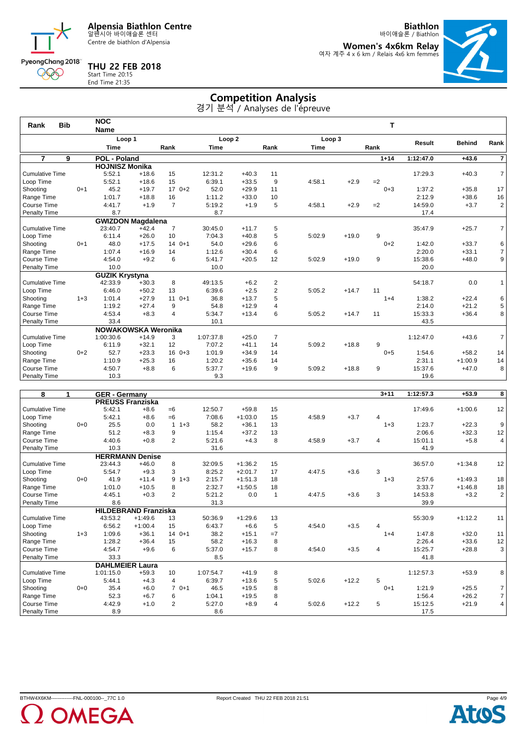Centre de biathlon d'Alpensia

**THU 22 FEB 2018** Start Time 20:15 End Time 21:35

PyeongChang 2018 000

**Biathlon**

바이애슬론 / Biathlon **Women's 4x6km Relay** 여자 계주 4 x 6 km / Relais 4x6 km femmes



**Competition Analysis** 경기 분석 / Analyses de l'épreuve

|                        |                                      | <b>Name</b> |                      |                                                                                            |                                                       |         |                              |             |         |                  |                   |               |                       |
|------------------------|--------------------------------------|-------------|----------------------|--------------------------------------------------------------------------------------------|-------------------------------------------------------|---------|------------------------------|-------------|---------|------------------|-------------------|---------------|-----------------------|
|                        |                                      |             |                      |                                                                                            |                                                       |         |                              |             |         |                  |                   |               | Rank                  |
|                        |                                      | <b>Time</b> |                      | Rank                                                                                       | Time                                                  |         |                              | <b>Time</b> |         |                  |                   |               |                       |
| 9                      |                                      |             |                      |                                                                                            |                                                       |         |                              |             |         | $1 + 14$         | 1:12:47.0         | $+43.6$       | $\overline{7}$        |
|                        |                                      |             |                      |                                                                                            |                                                       |         |                              |             |         |                  |                   |               |                       |
|                        |                                      | 5:52.1      | $+18.6$              | 15                                                                                         | 12:31.2                                               | $+40.3$ | 11                           |             |         |                  | 17:29.3           | $+40.3$       | $\overline{7}$        |
|                        |                                      |             |                      |                                                                                            |                                                       |         | 9                            |             |         |                  |                   |               |                       |
|                        | $0 + 1$                              | 45.2        | $+19.7$              | $170+2$                                                                                    | 52.0                                                  | $+29.9$ | 11                           |             |         | $0 + 3$          | 1:37.2            | $+35.8$       | 17                    |
| Range Time             |                                      | 1:01.7      | $+18.8$              | 16                                                                                         | 1:11.2                                                | $+33.0$ | 10                           |             |         |                  | 2:12.9            | $+38.6$       | 16                    |
| Course Time            |                                      | 4:41.7      | $+1.9$               | $\overline{7}$                                                                             | 5:19.2                                                | $+1.9$  | 5                            | 4:58.1      | $+2.9$  | $=2$             | 14:59.0           | $+3.7$        | 2 <sup>1</sup>        |
| Penalty Time           |                                      | 8.7         |                      |                                                                                            | 8.7                                                   |         |                              |             |         |                  | 17.4              |               |                       |
|                        |                                      |             |                      |                                                                                            |                                                       |         |                              |             |         |                  |                   |               |                       |
| <b>Cumulative Time</b> |                                      | 23:40.7     | $+42.4$              | $\overline{7}$                                                                             | 30:45.0                                               | $+11.7$ | 5                            |             |         |                  | 35:47.9           | $+25.7$       | 7 <sup>1</sup>        |
|                        |                                      | 6:11.4      | $+26.0$              | 10                                                                                         | 7:04.3                                                | $+40.8$ | 5                            | 5:02.9      | $+19.0$ | 9                |                   |               |                       |
|                        | $0+1$                                | 48.0        | $+17.5$              | $140+1$                                                                                    | 54.0                                                  | $+29.6$ | 6                            |             |         | $0 + 2$          | 1:42.0            | $+33.7$       | 6                     |
| Range Time             |                                      | 1:07.4      | $+16.9$              | 14                                                                                         | 1:12.6                                                | $+30.4$ | 6                            |             |         |                  | 2:20.0            | $+33.1$       | $\overline{7}$        |
| Course Time            |                                      | 4:54.0      | $+9.2$               | 6                                                                                          | 5:41.7                                                | $+20.5$ | 12                           | 5:02.9      | $+19.0$ | 9                | 15:38.6           | $+48.0$       | 9 <sup>1</sup>        |
| Penalty Time           |                                      | 10.0        |                      |                                                                                            | 10.0                                                  |         |                              |             |         |                  | 20.0              |               |                       |
|                        |                                      |             |                      |                                                                                            |                                                       |         |                              |             |         |                  |                   |               |                       |
| <b>Cumulative Time</b> |                                      | 42:33.9     | $+30.3$              | 8                                                                                          | 49:13.5                                               | $+6.2$  | $\overline{2}$               |             |         |                  | 54:18.7           | 0.0           | $\mathbf{1}$          |
|                        |                                      | 6:46.0      | $+50.2$              | 13                                                                                         | 6:39.6                                                | $+2.5$  | $\overline{2}$               | 5:05.2      | $+14.7$ | 11               |                   |               |                       |
|                        | $1 + 3$                              | 1:01.4      | $+27.9$              | $110+1$                                                                                    | 36.8                                                  | $+13.7$ | 5                            |             |         | $1 + 4$          | 1:38.2            | $+22.4$       | 6                     |
| Range Time             |                                      | 1:19.2      | $+27.4$              | 9                                                                                          | 54.8                                                  | $+12.9$ | $\overline{4}$               |             |         |                  | 2:14.0            | $+21.2$       | 5                     |
| Course Time            |                                      | 4:53.4      | $+8.3$               | 4                                                                                          | 5:34.7                                                | $+13.4$ | 6                            | 5:05.2      | $+14.7$ | 11               | 15:33.3           | $+36.4$       | 8                     |
| Penalty Time           |                                      | 33.4        |                      |                                                                                            | 10.1                                                  |         |                              |             |         |                  | 43.5              |               |                       |
|                        |                                      |             |                      |                                                                                            |                                                       |         |                              |             |         |                  |                   |               |                       |
| <b>Cumulative Time</b> |                                      | 1:00:30.6   | $+14.9$              | 3                                                                                          | 1:07:37.8                                             | $+25.0$ | $\overline{7}$               |             |         |                  | 1:12:47.0         | $+43.6$       | $\overline{7}$        |
|                        |                                      | 6:11.9      | $+32.1$              | 12                                                                                         | 7:07.2                                                | $+41.1$ | 14                           | 5:09.2      | $+18.8$ | 9                |                   |               |                       |
|                        | $0+2$                                | 52.7        | $+23.3$              | $160+3$                                                                                    | 1:01.9                                                | $+34.9$ | 14                           |             |         | $0 + 5$          | 1:54.6            | $+58.2$       | 14                    |
| Range Time             |                                      | 1:10.9      | $+25.3$              | 16                                                                                         | 1:20.2                                                | $+35.6$ | 14                           |             |         |                  | 2:31.1            | $+1:00.9$     | 14                    |
| Course Time            |                                      | 4:50.7      | $+8.8$               | 6                                                                                          | 5:37.7                                                | $+19.6$ | 9                            | 5:09.2      | $+18.8$ | 9                | 15:37.6           | $+47.0$       | 8                     |
| <b>Penalty Time</b>    |                                      | 10.3        |                      |                                                                                            | 9.3                                                   |         |                              |             |         |                  |                   |               |                       |
|                        | <b>Bib</b><br><b>Cumulative Time</b> |             | <b>NOC</b><br>5:52.1 | Loop 1<br><b>POL - Poland</b><br><b>HOJNISZ Monika</b><br>$+18.6$<br><b>GUZIK Krystyna</b> | 15<br><b>GWIZDON Magdalena</b><br>NOWAKOWSKA Weronika | 6:39.1  | Loop <sub>2</sub><br>$+33.5$ | Rank        | 4:58.1  | Loop 3<br>$+2.9$ | T<br>Rank<br>$=2$ | <b>Result</b> | <b>Behind</b><br>19.6 |

| 8<br>1                 |         | <b>GER</b> - Germany    |                             |                         |           |           |      |        |         | $3 + 11$ | 1:12:57.3 | $+53.9$   | 8                       |
|------------------------|---------|-------------------------|-----------------------------|-------------------------|-----------|-----------|------|--------|---------|----------|-----------|-----------|-------------------------|
|                        |         | <b>PREUSS Franziska</b> |                             |                         |           |           |      |        |         |          |           |           |                         |
| <b>Cumulative Time</b> |         | 5:42.1                  | $+8.6$                      | $=6$                    | 12:50.7   | $+59.8$   | 15   |        |         |          | 17:49.6   | $+1:00.6$ | 12                      |
| Loop Time              |         | 5:42.1                  | $+8.6$                      | $=6$                    | 7:08.6    | $+1:03.0$ | 15   | 4:58.9 | $+3.7$  | 4        |           |           |                         |
| Shooting               | $0 + 0$ | 25.5                    | 0.0                         | $\mathbf{1}$<br>$1 + 3$ | 58.2      | $+36.1$   | 13   |        |         | $1 + 3$  | 1:23.7    | $+22.3$   | 9                       |
| Range Time             |         | 51.2                    | $+8.3$                      | 9                       | 1:15.4    | $+37.2$   | 13   |        |         |          | 2:06.6    | $+32.3$   | 12                      |
| Course Time            |         | 4:40.6                  | $+0.8$                      | $\overline{2}$          | 5:21.6    | $+4.3$    | 8    | 4:58.9 | $+3.7$  | 4        | 15:01.1   | $+5.8$    | 4                       |
| Penalty Time           |         | 10.3                    |                             |                         | 31.6      |           |      |        |         |          | 41.9      |           |                         |
|                        |         |                         | <b>HERRMANN Denise</b>      |                         |           |           |      |        |         |          |           |           |                         |
| <b>Cumulative Time</b> |         | 23:44.3                 | $+46.0$                     | 8                       | 32:09.5   | $+1:36.2$ | 15   |        |         |          | 36:57.0   | $+1:34.8$ | 12                      |
| Loop Time              |         | 5:54.7                  | $+9.3$                      | 3                       | 8:25.2    | $+2:01.7$ | 17   | 4:47.5 | $+3.6$  | 3        |           |           |                         |
| Shooting               | $0 + 0$ | 41.9                    | $+11.4$                     | 9<br>$1 + 3$            | 2:15.7    | $+1:51.3$ | 18   |        |         | $1 + 3$  | 2:57.6    | $+1:49.3$ | 18                      |
| Range Time             |         | 1:01.0                  | $+10.5$                     | 8                       | 2:32.7    | $+1:50.5$ | 18   |        |         |          | 3:33.7    | $+1:46.8$ | 18                      |
| Course Time            |         | 4:45.1                  | $+0.3$                      | $\overline{2}$          | 5:21.2    | 0.0       |      | 4:47.5 | $+3.6$  | 3        | 14:53.8   | $+3.2$    | $\overline{\mathbf{c}}$ |
| Penalty Time           |         | 8.6                     |                             |                         | 31.3      |           |      |        |         |          | 39.9      |           |                         |
|                        |         |                         | <b>HILDEBRAND Franziska</b> |                         |           |           |      |        |         |          |           |           |                         |
| <b>Cumulative Time</b> |         | 43:53.2                 | $+1:49.6$                   | 13                      | 50:36.9   | $+1:29.6$ | 13   |        |         |          | 55:30.9   | $+1:12.2$ | 11                      |
| Loop Time              |         | 6:56.2                  | $+1:00.4$                   | 15                      | 6:43.7    | $+6.6$    | 5    | 4:54.0 | $+3.5$  | 4        |           |           |                         |
| Shooting               | $1 + 3$ | 1:09.6                  | $+36.1$                     | 14<br>$0+1$             | 38.2      | $+15.1$   | $=7$ |        |         | $1 + 4$  | 1:47.8    | $+32.0$   | 11                      |
| Range Time             |         | 1:28.2                  | $+36.4$                     | 15                      | 58.2      | $+16.3$   | 8    |        |         |          | 2:26.4    | $+33.6$   | 12                      |
| Course Time            |         | 4:54.7                  | $+9.6$                      | 6                       | 5:37.0    | $+15.7$   | 8    | 4:54.0 | $+3.5$  | 4        | 15:25.7   | $+28.8$   | 3                       |
| Penalty Time           |         | 33.3                    |                             |                         | 8.5       |           |      |        |         |          | 41.8      |           |                         |
|                        |         | <b>DAHLMEIER Laura</b>  |                             |                         |           |           |      |        |         |          |           |           |                         |
| <b>Cumulative Time</b> |         | 1:01:15.0               | $+59.3$                     | 10                      | 1:07:54.7 | $+41.9$   | 8    |        |         |          | 1:12:57.3 | $+53.9$   | 8                       |
| Loop Time              |         | 5:44.1                  | $+4.3$                      | $\overline{4}$          | 6:39.7    | $+13.6$   | 5    | 5:02.6 | $+12.2$ | 5        |           |           |                         |
| Shooting               | $0 + 0$ | 35.4                    | $+6.0$                      | $\overline{7}$<br>$0+1$ | 46.5      | $+19.5$   | 8    |        |         | $0 + 1$  | 1:21.9    | $+25.5$   | 7                       |
| Range Time             |         | 52.3                    | $+6.7$                      | 6                       | 1:04.1    | $+19.5$   | 8    |        |         |          | 1:56.4    | $+26.2$   | $\overline{7}$          |
| Course Time            |         | 4:42.9                  | $+1.0$                      | 2                       | 5:27.0    | $+8.9$    | 4    | 5:02.6 | $+12.2$ | 5        | 15:12.5   | $+21.9$   | 4                       |
| Penalty Time           |         | 8.9                     |                             |                         | 8.6       |           |      |        |         |          | 17.5      |           |                         |



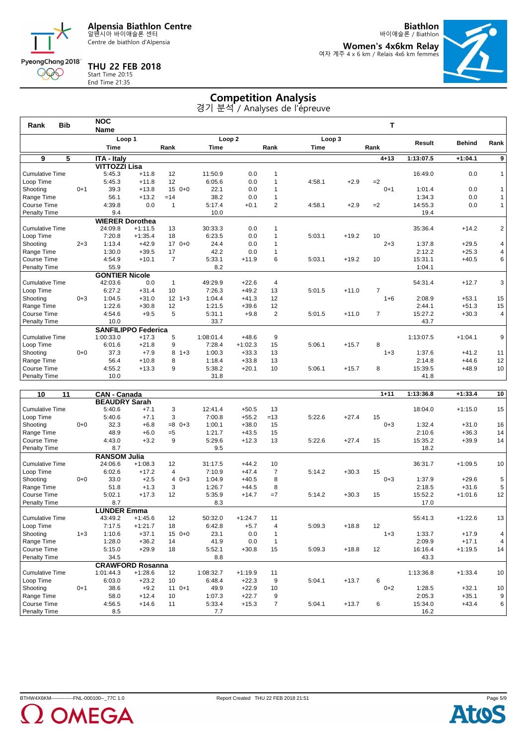Centre de biathlon d'Alpensia

**THU 22 FEB 2018** Start Time 20:15 End Time 21:35

PyeongChang 2018 000

**Biathlon** 바이애슬론 / Biathlon

**Women's 4x6km Relay** 여자 계주 4 x 6 km / Relais 4x6 km femmes



**Competition Analysis** 경기 분석 / Analyses de l'épreuve

| <b>Bib</b><br>Rank     |         | <b>NOC</b>                 |           |                |                   |           |                |             |         | т              |           |               |                |
|------------------------|---------|----------------------------|-----------|----------------|-------------------|-----------|----------------|-------------|---------|----------------|-----------|---------------|----------------|
|                        |         | <b>Name</b>                |           |                |                   |           |                |             |         |                |           |               |                |
|                        |         | Loop 1                     |           |                | Loop <sub>2</sub> |           |                | Loop 3      |         |                | Result    | <b>Behind</b> | Rank           |
|                        |         | <b>Time</b>                |           | Rank           | <b>Time</b>       |           | Rank           | <b>Time</b> |         | Rank           |           |               |                |
| 9<br>5                 |         | <b>ITA - Italv</b>         |           |                |                   |           |                |             |         | $4 + 13$       | 1:13:07.5 | $+1:04.1$     | $\overline{9}$ |
|                        |         | <b>VITTOZZI Lisa</b>       |           |                |                   |           |                |             |         |                |           |               |                |
| Cumulative Time        |         | 5:45.3                     | $+11.8$   | 12             | 11:50.9           | 0.0       | $\overline{1}$ |             |         |                | 16:49.0   | 0.0           | $\mathbf{1}$   |
| Loop Time              |         | 5:45.3                     | $+11.8$   | 12             | 6:05.6            | 0.0       |                | 4:58.1      | $+2.9$  | $=2$           |           |               |                |
| Shooting               | $0 + 1$ | 39.3                       | $+13.8$   | 15<br>$0+0$    | 22.1              | 0.0       | 1              |             |         | $0 + 1$        | 1:01.4    | 0.0           | $\mathbf{1}$   |
| Range Time             |         | 56.1                       | $+13.2$   | $=14$          | 38.2              | 0.0       |                |             |         |                | 1:34.3    | 0.0           | $\mathbf{1}$   |
| Course Time            |         | 4:39.8                     | 0.0       | $\overline{1}$ | 5:17.4            | $+0.1$    | $\overline{2}$ | 4:58.1      | $+2.9$  | $=2$           | 14:55.3   | 0.0           | $\mathbf{1}$   |
| Penalty Time           |         | 9.4                        |           |                | 10.0              |           |                |             |         |                | 19.4      |               |                |
|                        |         | <b>WIERER Dorothea</b>     |           |                |                   |           |                |             |         |                |           |               |                |
| Cumulative Time        |         | 24:09.8                    | $+1:11.5$ | 13             | 30:33.3           | 0.0       | 1              |             |         |                | 35:36.4   | $+14.2$       | 2              |
| Loop Time              |         | 7:20.8                     | $+1:35.4$ | 18             | 6:23.5            | 0.0       |                | 5:03.1      | $+19.2$ | 10             |           |               |                |
| Shooting               | $2 + 3$ | 1:13.4                     | $+42.9$   | $170+0$        | 24.4              | 0.0       |                |             |         | $2 + 3$        | 1:37.8    | $+29.5$       | 4              |
| Range Time             |         | 1:30.0                     | $+39.5$   | 17             | 42.2              | 0.0       |                |             |         |                | 2:12.2    | $+25.3$       | 4              |
| Course Time            |         | 4:54.9                     | $+10.1$   | $\overline{7}$ | 5:33.1            | $+11.9$   | 6              | 5:03.1      | $+19.2$ | 10             | 15:31.1   | $+40.5$       | 6              |
| Penalty Time           |         | 55.9                       |           |                | 8.2               |           |                |             |         |                | 1:04.1    |               |                |
|                        |         | <b>GONTIER Nicole</b>      |           |                |                   |           |                |             |         |                |           |               |                |
| <b>Cumulative Time</b> |         | 42:03.6                    | 0.0       | $\mathbf{1}$   | 49:29.9           | $+22.6$   | 4              |             |         |                | 54:31.4   | $+12.7$       | 3              |
| Loop Time              |         | 6:27.2                     | $+31.4$   | 10             | 7:26.3            | $+49.2$   | 13             | 5:01.5      | $+11.0$ | $\overline{7}$ |           |               |                |
| Shooting               | $0 + 3$ | 1:04.5                     | $+31.0$   | $12 + 3$       | 1:04.4            | $+41.3$   | 12             |             |         | $1 + 6$        | 2:08.9    | $+53.1$       | 15             |
| Range Time             |         | 1:22.6                     | $+30.8$   | 12             | 1:21.5            | $+39.6$   | 12             |             |         |                | 2:44.1    | $+51.3$       | 15             |
| Course Time            |         | 4:54.6                     | $+9.5$    | 5              | 5:31.1            | $+9.8$    | $\overline{2}$ | 5:01.5      | $+11.0$ | $\overline{7}$ | 15:27.2   | $+30.3$       | 4              |
| Penalty Time           |         | 10.0                       |           |                | 33.7              |           |                |             |         |                | 43.7      |               |                |
|                        |         | <b>SANFILIPPO Federica</b> |           |                |                   |           |                |             |         |                |           |               |                |
| <b>Cumulative Time</b> |         | 1:00:33.0                  | $+17.3$   | 5              | 1:08:01.4         | $+48.6$   | 9              |             |         |                | 1:13:07.5 | $+1:04.1$     | 9              |
| Loop Time              |         | 6:01.6                     | $+21.8$   | 9              | 7:28.4            | $+1:02.3$ | 15             | 5:06.1      | $+15.7$ | 8              |           |               |                |
| Shooting               | $0 + 0$ | 37.3                       | $+7.9$    | 8<br>$1 + 3$   | 1:00.3            | $+33.3$   | 13             |             |         | $1 + 3$        | 1:37.6    | $+41.2$       | 11             |
| Range Time             |         | 56.4                       | $+10.8$   | 8              | 1:18.4            | $+33.8$   | 13             |             |         |                | 2:14.8    | $+44.6$       | 12             |
| Course Time            |         | 4:55.2                     | $+13.3$   | 9              | 5:38.2            | $+20.1$   | 10             | 5:06.1      | $+15.7$ | 8              | 15:39.5   | $+48.9$       | 10             |
| Penalty Time           |         | 10.0                       |           |                | 31.8              |           |                |             |         |                | 41.8      |               |                |
|                        |         |                            |           |                |                   |           |                |             |         |                |           |               |                |
|                        |         |                            |           |                |                   |           |                |             |         |                |           |               |                |

| $\overline{11}$<br>10  |         | <b>CAN - Canada</b>  |                         |                 |           |           |                |        |         | $1 + 11$ | 1:13:36.8 | $+1:33.4$ | 10         |
|------------------------|---------|----------------------|-------------------------|-----------------|-----------|-----------|----------------|--------|---------|----------|-----------|-----------|------------|
|                        |         | <b>BEAUDRY Sarah</b> |                         |                 |           |           |                |        |         |          |           |           |            |
| <b>Cumulative Time</b> |         | 5:40.6               | $+7.1$                  | 3               | 12:41.4   | $+50.5$   | 13             |        |         |          | 18:04.0   | $+1:15.0$ | 15         |
| Loop Time              |         | 5:40.6               | $+7.1$                  | 3               | 7:00.8    | $+55.2$   | $=13$          | 5:22.6 | $+27.4$ | 15       |           |           |            |
| Shooting               | $0 + 0$ | 32.3                 | $+6.8$                  | $=8$<br>$0 + 3$ | 1:00.1    | $+38.0$   | 15             |        |         | $0 + 3$  | 1:32.4    | $+31.0$   | 16         |
| Range Time             |         | 48.9                 | $+6.0$                  | $=5$            | 1:21.7    | $+43.5$   | 15             |        |         |          | 2:10.6    | $+36.3$   | 14         |
| Course Time            |         | 4:43.0               | $+3.2$                  | 9               | 5:29.6    | $+12.3$   | 13             | 5:22.6 | $+27.4$ | 15       | 15:35.2   | $+39.9$   | 14         |
| Penalty Time           |         | 8.7                  |                         |                 | 9.5       |           |                |        |         |          | 18.2      |           |            |
|                        |         | <b>RANSOM Julia</b>  |                         |                 |           |           |                |        |         |          |           |           |            |
| <b>Cumulative Time</b> |         | 24:06.6              | $+1:08.3$               | 12              | 31:17.5   | $+44.2$   | 10             |        |         |          | 36:31.7   | $+1:09.5$ | 10         |
| Loop Time              |         | 6:02.6               | $+17.2$                 | 4               | 7:10.9    | $+47.4$   | $\overline{7}$ | 5:14.2 | $+30.3$ | 15       |           |           |            |
| Shooting               | $0 + 0$ | 33.0                 | $+2.5$                  | $40+3$          | 1:04.9    | $+40.5$   | 8              |        |         | $0 + 3$  | 1:37.9    | $+29.6$   | 5          |
| Range Time             |         | 51.8                 | $+1.3$                  | 3               | 1:26.7    | $+44.5$   | 8              |        |         |          | 2:18.5    | $+31.6$   | $\sqrt{5}$ |
| Course Time            |         | 5:02.1               | $+17.3$                 | 12              | 5:35.9    | $+14.7$   | $=7$           | 5:14.2 | $+30.3$ | 15       | 15:52.2   | $+1:01.6$ | 12         |
| Penalty Time           |         | 8.7                  |                         |                 | 8.3       |           |                |        |         |          | 17.0      |           |            |
|                        |         | <b>LUNDER Emma</b>   |                         |                 |           |           |                |        |         |          |           |           |            |
| <b>Cumulative Time</b> |         | 43:49.2              | $+1:45.6$               | 12              | 50:32.0   | $+1:24.7$ | 11             |        |         |          | 55:41.3   | $+1:22.6$ | 13         |
| Loop Time              |         | 7:17.5               | $+1:21.7$               | 18              | 6:42.8    | $+5.7$    | 4              | 5:09.3 | $+18.8$ | 12       |           |           |            |
| Shooting               | $1 + 3$ | 1:10.6               | $+37.1$                 | 15<br>$0+0$     | 23.1      | 0.0       |                |        |         | $1 + 3$  | 1:33.7    | $+17.9$   | 4          |
| Range Time             |         | 1:28.0               | $+36.2$                 | 14              | 41.9      | 0.0       |                |        |         |          | 2:09.9    | $+17.1$   | 4          |
| Course Time            |         | 5:15.0               | $+29.9$                 | 18              | 5:52.1    | $+30.8$   | 15             | 5:09.3 | $+18.8$ | 12       | 16:16.4   | $+1:19.5$ | 14         |
| Penalty Time           |         | 34.5                 |                         |                 | 8.8       |           |                |        |         |          | 43.3      |           |            |
|                        |         |                      | <b>CRAWFORD Rosanna</b> |                 |           |           |                |        |         |          |           |           |            |
| <b>Cumulative Time</b> |         | 1:01:44.3            | $+1:28.6$               | 12              | 1:08:32.7 | $+1:19.9$ | 11             |        |         |          | 1:13:36.8 | $+1:33.4$ | 10         |
| Loop Time              |         | 6:03.0               | $+23.2$                 | 10              | 6:48.4    | $+22.3$   | 9              | 5:04.1 | $+13.7$ | 6        |           |           |            |
| Shooting               | $0 + 1$ | 38.6                 | $+9.2$                  | 11<br>$0+1$     | 49.9      | $+22.9$   | 10             |        |         | $0 + 2$  | 1:28.5    | $+32.1$   | 10         |
| Range Time             |         | 58.0                 | $+12.4$                 | 10              | 1:07.3    | $+22.7$   | 9              |        |         |          | 2:05.3    | $+35.1$   | 9          |
| Course Time            |         | 4:56.5               | $+14.6$                 | 11              | 5:33.4    | $+15.3$   | $\overline{7}$ | 5:04.1 | $+13.7$ | 6        | 15:34.0   | $+43.4$   | 6          |
| Penalty Time           |         | 8.5                  |                         |                 | 7.7       |           |                |        |         |          | 16.2      |           |            |



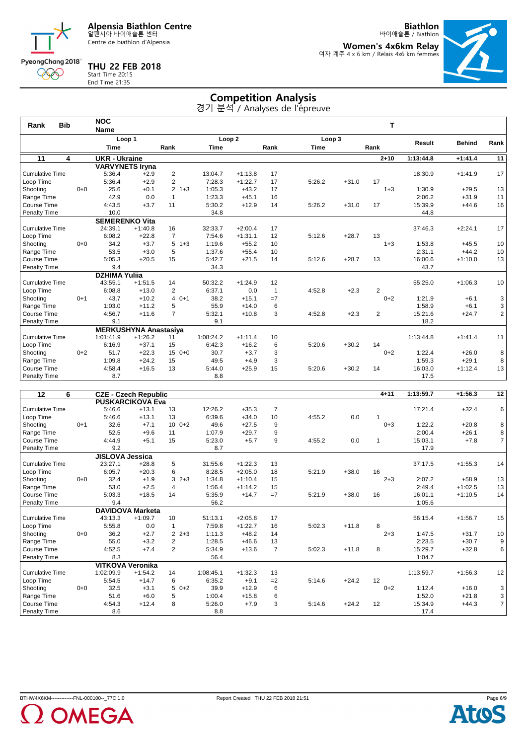Centre de biathlon d'Alpensia

**THU 22 FEB 2018**

PyeongChang 2018 000

**Biathlon** 바이애슬론 / Biathlon

**Women's 4x6km Relay** 여자 계주 4 x 6 km / Relais 4x6 km femmes



### Start Time 20:15 End Time 21:35

### **Competition Analysis**

| <b>Bib</b><br>Rank     |         | <b>NOC</b>             |                              |                |             |                   |                 |             |         | т              |               |               |                |
|------------------------|---------|------------------------|------------------------------|----------------|-------------|-------------------|-----------------|-------------|---------|----------------|---------------|---------------|----------------|
|                        |         | <b>Name</b>            |                              |                |             |                   |                 |             |         |                |               |               |                |
|                        |         |                        | Loop 1                       |                |             | Loop <sub>2</sub> |                 | Loop 3      |         |                | <b>Result</b> | <b>Behind</b> | Rank           |
|                        |         | <b>Time</b>            |                              | Rank           | <b>Time</b> |                   | Rank            | <b>Time</b> |         | Rank           |               |               |                |
| $\overline{11}$<br>4   |         | <b>UKR - Ukraine</b>   |                              |                |             |                   |                 |             |         | $2 + 10$       | 1:13:44.8     | $+1:41.4$     | 11             |
|                        |         | <b>VARVYNETS Irvna</b> |                              |                |             |                   |                 |             |         |                |               |               |                |
| <b>Cumulative Time</b> |         | 5:36.4                 | $+2.9$                       | $\overline{2}$ | 13:04.7     | $+1:13.8$         | 17              |             |         |                | 18:30.9       | $+1:41.9$     | 17             |
| Loop Time              |         | 5:36.4                 | $+2.9$                       | $\overline{2}$ | 7:28.3      | $+1:22.7$         | 17              | 5:26.2      | $+31.0$ | 17             |               |               |                |
| Shooting               | $0 + 0$ | 25.6                   | $+0.1$                       | 2<br>$1 + 3$   | 1:05.3      | $+43.2$           | 17              |             |         | $1 + 3$        | 1:30.9        | $+29.5$       | 13             |
| Range Time             |         | 42.9                   | 0.0                          | $\mathbf{1}$   | 1:23.3      | $+45.1$           | 16              |             |         |                | 2:06.2        | $+31.9$       | 11             |
| Course Time            |         | 4:43.5                 | $+3.7$                       | 11             | 5:30.2      | $+12.9$           | 14              | 5:26.2      | $+31.0$ | 17             | 15:39.9       | $+44.6$       | 16             |
| Penalty Time           |         | 10.0                   |                              |                | 34.8        |                   |                 |             |         |                | 44.8          |               |                |
|                        |         | <b>SEMERENKO Vita</b>  |                              |                |             |                   |                 |             |         |                |               |               |                |
| <b>Cumulative Time</b> |         | 24:39.1                | $+1:40.8$                    | 16             | 32:33.7     | $+2:00.4$         | 17              |             |         |                | 37:46.3       | $+2:24.1$     | 17             |
| Loop Time              |         | 6:08.2                 | $+22.8$                      | $\overline{7}$ | 7:54.6      | $+1:31.1$         | 12              | 5:12.6      | $+28.7$ | 13             |               |               |                |
| Shooting               | $0 + 0$ | 34.2                   | $+3.7$                       | 5<br>$1 + 3$   | 1:19.6      | $+55.2$           | 10 <sup>1</sup> |             |         | $1 + 3$        | 1:53.8        | $+45.5$       | 10             |
| Range Time             |         | 53.5                   | $+3.0$                       | 5              | 1:37.6      | $+55.4$           | 10              |             |         |                | 2:31.1        | $+44.2$       | 10             |
| Course Time            |         | 5:05.3                 | $+20.5$                      | 15             | 5:42.7      | $+21.5$           | 14              | 5:12.6      | $+28.7$ | 13             | 16:00.6       | $+1:10.0$     | 13             |
| Penalty Time           |         | 9.4                    |                              |                | 34.3        |                   |                 |             |         |                | 43.7          |               |                |
|                        |         | <b>DZHIMA Yulija</b>   |                              |                |             |                   |                 |             |         |                |               |               |                |
| <b>Cumulative Time</b> |         | 43:55.1                | $+1:51.5$                    | 14             | 50:32.2     | $+1:24.9$         | 12              |             |         |                | 55:25.0       | $+1:06.3$     | 10             |
| Loop Time              |         | 6:08.8                 | $+13.0$                      | 2              | 6:37.1      | 0.0               | 1               | 4:52.8      | $+2.3$  | $\overline{2}$ |               |               |                |
| Shooting               | $0 + 1$ | 43.7                   | $+10.2$                      | $40+1$         | 38.2        | $+15.1$           | $=7$            |             |         | $0+2$          | 1:21.9        | $+6.1$        | 3              |
| Range Time             |         | 1:03.0                 | $+11.2$                      | 5              | 55.9        | $+14.0$           | 6               |             |         |                | 1:58.9        | $+6.1$        | 3              |
| Course Time            |         | 4:56.7                 | $+11.6$                      | $\overline{7}$ | 5:32.1      | $+10.8$           | 3               | 4:52.8      | $+2.3$  | $\overline{2}$ | 15:21.6       | $+24.7$       | 2 <sup>1</sup> |
| Penalty Time           |         | 9.1                    |                              |                | 9.1         |                   |                 |             |         |                | 18.2          |               |                |
|                        |         |                        | <b>MERKUSHYNA Anastasiya</b> |                |             |                   |                 |             |         |                |               |               |                |
| <b>Cumulative Time</b> |         | 1:01:41.9              | $+1:26.2$                    | 11             | 1:08:24.2   | $+1:11.4$         | 10              |             |         |                | 1:13:44.8     | $+1:41.4$     | 11             |
| Loop Time              |         | 6:16.9                 | $+37.1$                      | 15             | 6:42.3      | $+16.2$           | 6               | 5:20.6      | $+30.2$ | 14             |               |               |                |
| Shooting               | $0 + 2$ | 51.7                   | $+22.3$                      | 15<br>$0 + 0$  | 30.7        | $+3.7$            | 3               |             |         | $0+2$          | 1:22.4        | $+26.0$       | 8              |
| Range Time             |         | 1:09.8                 | $+24.2$                      | 15             | 49.5        | $+4.9$            | 3               |             |         |                | 1:59.3        | $+29.1$       | 8              |
| Course Time            |         | 4:58.4                 | $+16.5$                      | 13             | 5:44.0      | $+25.9$           | 15              | 5:20.6      | $+30.2$ | 14             | 16:03.0       | $+1:12.4$     | 13             |
| Penalty Time           |         | 8.7                    |                              |                | 8.8         |                   |                 |             |         |                | 17.5          |               |                |
|                        |         |                        |                              |                |             |                   |                 |             |         |                |               |               |                |

| 12<br>6                |         |                         | <b>CZE - Czech Republic</b> |                           |           |           |                |        |         | $4 + 11$ | 1:13:59.7 | $+1:56.3$ | 12               |
|------------------------|---------|-------------------------|-----------------------------|---------------------------|-----------|-----------|----------------|--------|---------|----------|-----------|-----------|------------------|
|                        |         |                         | <b>PUSKARCIKOVA Eva</b>     |                           |           |           |                |        |         |          |           |           |                  |
| <b>Cumulative Time</b> |         | 5:46.6                  | $+13.1$                     | 13                        | 12:26.2   | $+35.3$   | $\overline{7}$ |        |         |          | 17:21.4   | $+32.4$   | 6                |
| Loop Time              |         | 5:46.6                  | $+13.1$                     | 13                        | 6:39.6    | $+34.0$   | 10             | 4:55.2 | 0.0     |          |           |           |                  |
| Shooting               | $0+1$   | 32.6                    | $+7.1$                      | $10 \t 0+2$               | 49.6      | $+27.5$   | 9              |        |         | $0 + 3$  | 1:22.2    | $+20.8$   | 8                |
| Range Time             |         | 52.5                    | $+9.6$                      | 11                        | 1:07.9    | $+29.7$   | 9              |        |         |          | 2:00.4    | $+26.1$   | 8                |
| Course Time            |         | 4:44.9                  | $+5.1$                      | 15                        | 5:23.0    | $+5.7$    | 9              | 4:55.2 | 0.0     |          | 15:03.1   | $+7.8$    | $\overline{7}$   |
| Penalty Time           |         | 9.2                     |                             |                           | 8.7       |           |                |        |         |          | 17.9      |           |                  |
| <b>JISLOVA Jessica</b> |         |                         |                             |                           |           |           |                |        |         |          |           |           |                  |
| <b>Cumulative Time</b> |         | 23:27.1                 | $+28.8$                     | 5                         | 31:55.6   | $+1:22.3$ | 13             |        |         |          | 37:17.5   | $+1:55.3$ | 14               |
| Loop Time              |         | 6:05.7                  | $+20.3$                     | 6                         | 8:28.5    | $+2:05.0$ | 18             | 5:21.9 | $+38.0$ | 16       |           |           |                  |
| Shooting               | $0 + 0$ | 32.4                    | $+1.9$                      | $2 + 3$<br>3              | 1:34.8    | $+1:10.4$ | 15             |        |         | $2 + 3$  | 2:07.2    | $+58.9$   | 13               |
| Range Time             |         | 53.0                    | $+2.5$                      | $\overline{4}$            | 1:56.4    | $+1:14.2$ | 15             |        |         |          | 2:49.4    | $+1:02.5$ | 13               |
| Course Time            |         | 5:03.3                  | $+18.5$                     | 14                        | 5:35.9    | $+14.7$   | $=7$           | 5:21.9 | $+38.0$ | 16       | 16:01.1   | $+1:10.5$ | 14               |
| Penalty Time           |         | 9.4                     |                             |                           | 56.2      |           |                |        |         |          | 1:05.6    |           |                  |
|                        |         |                         | <b>DAVIDOVA Marketa</b>     |                           |           |           |                |        |         |          |           |           |                  |
| <b>Cumulative Time</b> |         | 43:13.3                 | $+1:09.7$                   | 10                        | 51:13.1   | $+2:05.8$ | 17             |        |         |          | 56:15.4   | $+1:56.7$ | 15               |
| Loop Time              |         | 5:55.8                  | 0.0                         |                           | 7:59.8    | $+1:22.7$ | 16             | 5:02.3 | $+11.8$ | 8        |           |           |                  |
| Shooting               | $0 + 0$ | 36.2                    | $+2.7$                      | $\overline{2}$<br>$2 + 3$ | 1:11.3    | $+48.2$   | 14             |        |         | $2 + 3$  | 1:47.5    | $+31.7$   | 10               |
| Range Time             |         | 55.0                    | $+3.2$                      | $\overline{2}$            | 1:28.5    | $+46.6$   | 13             |        |         |          | 2:23.5    | $+30.7$   | $\boldsymbol{9}$ |
| Course Time            |         | 4:52.5                  | $+7.4$                      | 2                         | 5:34.9    | $+13.6$   | $\overline{7}$ | 5:02.3 | $+11.8$ | 8        | 15:29.7   | $+32.8$   | 6                |
| Penalty Time           |         | 8.3                     |                             |                           | 56.4      |           |                |        |         |          | 1:04.7    |           |                  |
|                        |         | <b>VITKOVA Veronika</b> |                             |                           |           |           |                |        |         |          |           |           |                  |
| <b>Cumulative Time</b> |         | 1:02:09.9               | $+1:54.2$                   | 14                        | 1:08:45.1 | $+1:32.3$ | 13             |        |         |          | 1:13:59.7 | $+1:56.3$ | 12               |
| Loop Time              |         | 5:54.5                  | $+14.7$                     | 6                         | 6:35.2    | $+9.1$    | $=2$           | 5:14.6 | $+24.2$ | 12       |           |           |                  |
| Shooting               | $0 + 0$ | 32.5                    | $+3.1$                      | 5<br>$0+2$                | 39.9      | $+12.9$   | 6              |        |         | $0 + 2$  | 1:12.4    | $+16.0$   | 3                |
| Range Time             |         | 51.6                    | $+6.0$                      | 5                         | 1:00.4    | $+15.8$   | 6              |        |         |          | 1:52.0    | $+21.8$   | 3                |
| Course Time            |         | 4:54.3                  | $+12.4$                     | 8                         | 5:26.0    | $+7.9$    | 3              | 5:14.6 | $+24.2$ | 12       | 15:34.9   | $+44.3$   | $\overline{7}$   |
| <b>Penalty Time</b>    |         | 8.6                     |                             |                           | 8.8       |           |                |        |         |          | 17.4      |           |                  |



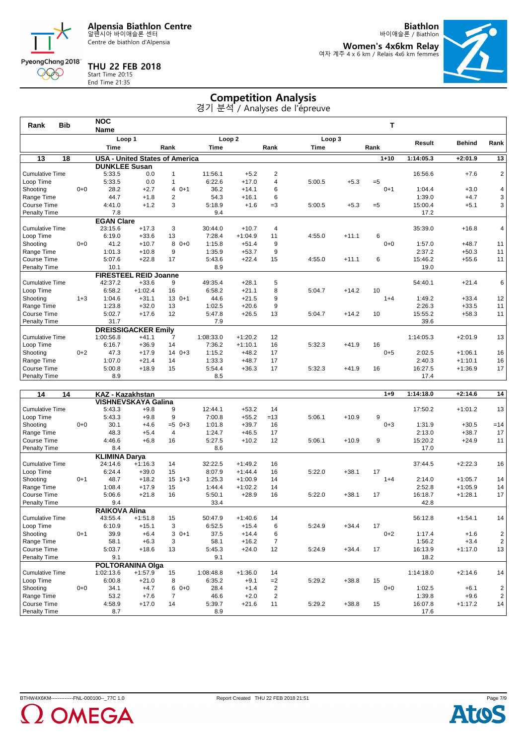Centre de biathlon d'Alpensia

**THU 22 FEB 2018** Start Time 20:15 End Time 21:35

PyeongChang 2018 000

**Biathlon** 바이애슬론 / Biathlon

**Women's 4x6km Relay** 여자 계주 4 x 6 km / Relais 4x6 km femmes



# **Competition Analysis**

| Rank                   | <b>Bib</b>      |         | <b>NOC</b>                   |           |                                       |                   |           |                |             |         | т        |           |               |                         |
|------------------------|-----------------|---------|------------------------------|-----------|---------------------------------------|-------------------|-----------|----------------|-------------|---------|----------|-----------|---------------|-------------------------|
|                        |                 |         | <b>Name</b>                  |           |                                       |                   |           |                |             |         |          |           |               |                         |
|                        |                 |         | Loop 1                       |           |                                       | Loop <sub>2</sub> |           |                | Loop 3      |         |          | Result    | <b>Behind</b> | Rank                    |
|                        |                 |         | <b>Time</b>                  |           | Rank                                  | Time              |           | Rank           | <b>Time</b> |         | Rank     |           |               |                         |
| 13                     | $\overline{18}$ |         |                              |           | <b>USA - United States of America</b> |                   |           |                |             |         | $1 + 10$ | 1:14:05.3 | $+2:01.9$     | $\overline{13}$         |
|                        |                 |         | <b>DUNKLEE Susan</b>         |           |                                       |                   |           |                |             |         |          |           |               |                         |
| <b>Cumulative Time</b> |                 |         | 5:33.5                       | 0.0       | $\mathbf{1}$                          | 11:56.1           | $+5.2$    | $\overline{2}$ |             |         |          | 16:56.6   | $+7.6$        | $\overline{\mathbf{c}}$ |
| Loop Time              |                 |         | 5:33.5                       | 0.0       | $\mathbf{1}$                          | 6:22.6            | $+17.0$   | 4              | 5:00.5      | $+5.3$  | $=5$     |           |               |                         |
| Shooting               |                 | $0 + 0$ | 28.2                         | $+2.7$    | $40+1$                                | 36.2              | $+14.1$   | 6              |             |         | $0 + 1$  | 1:04.4    | $+3.0$        | 4                       |
| Range Time             |                 |         | 44.7                         | $+1.8$    | $\overline{2}$                        | 54.3              | $+16.1$   | 6              |             |         |          | 1:39.0    | $+4.7$        | 3                       |
| Course Time            |                 |         | 4:41.0                       | $+1.2$    | 3                                     | 5:18.9            | $+1.6$    | $=3$           | 5:00.5      | $+5.3$  | $=5$     | 15:00.4   | $+5.1$        | 3                       |
| Penalty Time           |                 |         | 7.8                          |           |                                       | 9.4               |           |                |             |         |          | 17.2      |               |                         |
|                        |                 |         | <b>EGAN Clare</b>            |           |                                       |                   |           |                |             |         |          |           |               |                         |
| <b>Cumulative Time</b> |                 |         | 23:15.6                      | $+17.3$   | 3                                     | 30:44.0           | $+10.7$   | 4              |             |         |          | 35:39.0   | $+16.8$       | 4                       |
| Loop Time              |                 |         | 6:19.0                       | $+33.6$   | 13                                    | 7:28.4            | $+1:04.9$ | 11             | 4:55.0      | $+11.1$ | 6        |           |               |                         |
| Shooting               |                 | $0 + 0$ | 41.2                         | $+10.7$   | 8<br>$0 + 0$                          | 1:15.8            | $+51.4$   | 9              |             |         | $0 + 0$  | 1:57.0    | $+48.7$       | 11                      |
| Range Time             |                 |         | 1:01.3                       | $+10.8$   | 9                                     | 1:35.9            | $+53.7$   | 9              |             |         |          | 2:37.2    | $+50.3$       | 11                      |
| Course Time            |                 |         | 5:07.6                       | $+22.8$   | 17                                    | 5:43.6            | $+22.4$   | 15             | 4:55.0      | $+11.1$ | 6        | 15:46.2   | $+55.6$       | 11                      |
| <b>Penalty Time</b>    |                 |         | 10.1                         |           |                                       | 8.9               |           |                |             |         |          | 19.0      |               |                         |
|                        |                 |         | <b>FIRESTEEL REID Joanne</b> |           |                                       |                   |           |                |             |         |          |           |               |                         |
| <b>Cumulative Time</b> |                 |         | 42:37.2                      | $+33.6$   | 9                                     | 49:35.4           | $+28.1$   | 5              |             |         |          | 54:40.1   | $+21.4$       | 6                       |
| Loop Time              |                 |         | 6:58.2                       | $+1:02.4$ | 16                                    | 6:58.2            | $+21.1$   | 8              | 5:04.7      | $+14.2$ | 10       |           |               |                         |
| Shooting               |                 | $1 + 3$ | 1:04.6                       | $+31.1$   | $130+1$                               | 44.6              | $+21.5$   | 9              |             |         | $1 + 4$  | 1:49.2    | $+33.4$       | 12                      |
| Range Time             |                 |         | 1:23.8                       | $+32.0$   | 13                                    | 1:02.5            | $+20.6$   | 9              |             |         |          | 2:26.3    | $+33.5$       | 11                      |
| Course Time            |                 |         | 5:02.7                       | $+17.6$   | 12                                    | 5:47.8            | $+26.5$   | 13             | 5:04.7      | $+14.2$ | 10       | 15:55.2   | $+58.3$       | 11                      |
| <b>Penalty Time</b>    |                 |         | 31.7                         |           |                                       | 7.9               |           |                |             |         |          | 39.6      |               |                         |
|                        |                 |         | <b>DREISSIGACKER Emilv</b>   |           |                                       |                   |           |                |             |         |          |           |               |                         |
| <b>Cumulative Time</b> |                 |         | 1:00:56.8                    | $+41.1$   | 7                                     | 1:08:33.0         | $+1:20.2$ | 12             |             |         |          | 1:14:05.3 | $+2:01.9$     | 13                      |
| Loop Time              |                 |         | 6:16.7                       | $+36.9$   | 14                                    | 7:36.2            | $+1:10.1$ | 16             | 5:32.3      | $+41.9$ | 16       |           |               |                         |
| Shooting               |                 | $0 + 2$ | 47.3                         | $+17.9$   | $140+3$                               | 1:15.2            | $+48.2$   | 17             |             |         | $0 + 5$  | 2:02.5    | $+1:06.1$     | 16                      |
| Range Time             |                 |         | 1:07.0                       | $+21.4$   | 14                                    | 1:33.3            | $+48.7$   | 17             |             |         |          | 2:40.3    | $+1:10.1$     | 16                      |
| Course Time            |                 |         | 5:00.8                       | $+18.9$   | 15                                    | 5:54.4            | $+36.3$   | 17             | 5:32.3      | $+41.9$ | 16       | 16:27.5   | $+1:36.9$     | 17                      |
| <b>Penalty Time</b>    |                 |         | 8.9                          |           |                                       | 8.5               |           |                |             |         |          | 17.4      |               |                         |

| 14<br>14               |         | KAZ - Kazakhstan     |                            |                 |           |           |                |        |         | $1 + 9$ | 1:14:18.0 | $+2:14.6$ | 14             |
|------------------------|---------|----------------------|----------------------------|-----------------|-----------|-----------|----------------|--------|---------|---------|-----------|-----------|----------------|
|                        |         |                      | <b>VISHNEVSKAYA Galina</b> |                 |           |           |                |        |         |         |           |           |                |
| <b>Cumulative Time</b> |         | 5:43.3               | $+9.8$                     | 9               | 12:44.1   | $+53.2$   | 14             |        |         |         | 17:50.2   | $+1:01.2$ | 13             |
| Loop Time              |         | 5:43.3               | $+9.8$                     | 9               | 7:00.8    | $+55.2$   | $=13$          | 5:06.1 | $+10.9$ | 9       |           |           |                |
| Shooting               | $0 + 0$ | 30.1                 | $+4.6$                     | $=5$<br>$0 + 3$ | 1:01.8    | $+39.7$   | 16             |        |         | $0 + 3$ | 1:31.9    | $+30.5$   | $=14$          |
| Range Time             |         | 48.3                 | $+5.4$                     | $\overline{4}$  | 1:24.7    | $+46.5$   | 17             |        |         |         | 2:13.0    | $+38.7$   | 17             |
| Course Time            |         | 4:46.6               | $+6.8$                     | 16              | 5:27.5    | $+10.2$   | 12             | 5:06.1 | $+10.9$ | 9       | 15:20.2   | $+24.9$   | 11             |
| Penalty Time           |         | 8.4                  |                            |                 | 8.6       |           |                |        |         |         | 17.0      |           |                |
|                        |         | <b>KLIMINA Darya</b> |                            |                 |           |           |                |        |         |         |           |           |                |
| <b>Cumulative Time</b> |         | 24:14.6              | $+1:16.3$                  | 14              | 32:22.5   | $+1:49.2$ | 16             |        |         |         | 37:44.5   | $+2:22.3$ | 16             |
| Loop Time              |         | 6:24.4               | $+39.0$                    | 15              | 8:07.9    | $+1:44.4$ | 16             | 5:22.0 | $+38.1$ | 17      |           |           |                |
| Shooting               | $0+1$   | 48.7                 | $+18.2$                    | 15<br>$1 + 3$   | 1:25.3    | $+1:00.9$ | 14             |        |         | $1 + 4$ | 2:14.0    | $+1:05.7$ | 14             |
| Range Time             |         | 1:08.4               | $+17.9$                    | 15              | 1:44.4    | $+1:02.2$ | 14             |        |         |         | 2:52.8    | $+1:05.9$ | 14             |
| Course Time            |         | 5:06.6               | $+21.8$                    | 16              | 5:50.1    | $+28.9$   | 16             | 5:22.0 | $+38.1$ | 17      | 16:18.7   | $+1:28.1$ | 17             |
| Penalty Time           |         | 9.4                  |                            |                 | 33.4      |           |                |        |         |         | 42.8      |           |                |
|                        |         | <b>RAIKOVA Alina</b> |                            |                 |           |           |                |        |         |         |           |           |                |
| <b>Cumulative Time</b> |         | 43:55.4              | $+1:51.8$                  | 15              | 50:47.9   | $+1:40.6$ | 14             |        |         |         | 56:12.8   | $+1:54.1$ | 14             |
| Loop Time              |         | 6:10.9               | $+15.1$                    | 3               | 6:52.5    | $+15.4$   | 6              | 5:24.9 | $+34.4$ | 17      |           |           |                |
| Shooting               | $0 + 1$ | 39.9                 | $+6.4$                     | 3<br>$0+1$      | 37.5      | $+14.4$   | 6              |        |         | $0 + 2$ | 1:17.4    | $+1.6$    | 2              |
| Range Time             |         | 58.1                 | $+6.3$                     | 3               | 58.1      | $+16.2$   | $\overline{7}$ |        |         |         | 1:56.2    | $+3.4$    | $\overline{c}$ |
| Course Time            |         | 5:03.7               | $+18.6$                    | 13              | 5:45.3    | $+24.0$   | 12             | 5:24.9 | $+34.4$ | 17      | 16:13.9   | $+1:17.0$ | 13             |
| Penalty Time           |         | 9.1                  |                            |                 | 9.1       |           |                |        |         |         | 18.2      |           |                |
|                        |         |                      | <b>POLTORANINA Olga</b>    |                 |           |           |                |        |         |         |           |           |                |
| <b>Cumulative Time</b> |         | 1:02:13.6            | $+1:57.9$                  | 15              | 1:08:48.8 | $+1:36.0$ | 14             |        |         |         | 1:14:18.0 | $+2:14.6$ | 14             |
| Loop Time              |         | 6:00.8               | $+21.0$                    | 8               | 6:35.2    | $+9.1$    | $=2$           | 5:29.2 | $+38.8$ | 15      |           |           |                |
| Shooting               | $0+0$   | 34.1                 | $+4.7$                     | 6<br>$0 + 0$    | 28.4      | $+1.4$    | $\overline{2}$ |        |         | $0 + 0$ | 1:02.5    | $+6.1$    | $\frac{2}{2}$  |
| Range Time             |         | 53.2                 | $+7.6$                     | $\overline{7}$  | 46.6      | $+2.0$    | $\overline{2}$ |        |         |         | 1:39.8    | $+9.6$    |                |
| Course Time            |         | 4:58.9               | $+17.0$                    | 14              | 5:39.7    | $+21.6$   | 11             | 5:29.2 | $+38.8$ | 15      | 16:07.8   | $+1:17.2$ | 14             |
| <b>Penalty Time</b>    |         | 8.7                  |                            |                 | 8.9       |           |                |        |         |         | 17.6      |           |                |



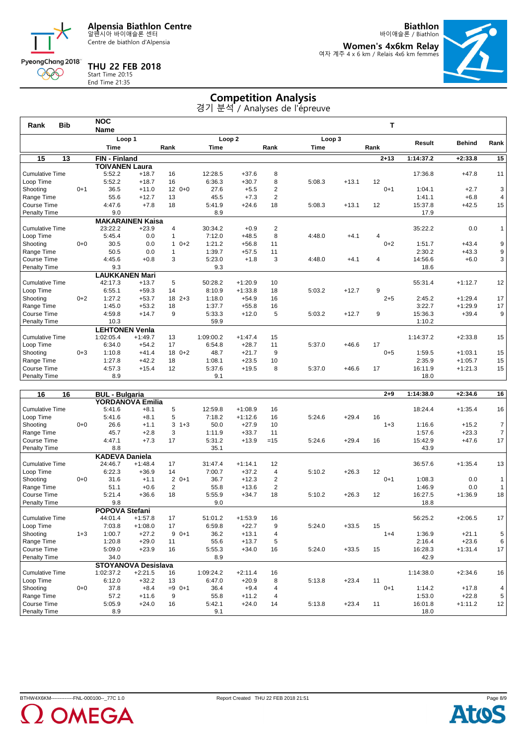Centre de biathlon d'Alpensia

**Biathlon** 바이애슬론 / Biathlon

**Women's 4x6km Relay** 여자 계주 4 x 6 km / Relais 4x6 km femmes



### **THU 22 FEB 2018** Start Time 20:15 End Time

PyeongChang 2018 000

| : 21:35 |  |  |  |
|---------|--|--|--|
|         |  |  |  |
|         |  |  |  |
|         |  |  |  |

|                        |            |         |                         |           |              |             |                   |                | 경기 분석 / Analyses de l'épreuve |         |          |           |               |                |
|------------------------|------------|---------|-------------------------|-----------|--------------|-------------|-------------------|----------------|-------------------------------|---------|----------|-----------|---------------|----------------|
| Rank                   | <b>Bib</b> |         | <b>NOC</b>              |           |              |             |                   |                |                               |         | т        |           |               |                |
|                        |            |         | <b>Name</b>             |           |              |             |                   |                |                               |         |          |           |               |                |
|                        |            |         | Loop 1                  |           |              |             | Loop <sub>2</sub> |                | Loop 3                        |         |          | Result    | <b>Behind</b> | Rank           |
|                        |            |         | <b>Time</b>             |           | Rank         | <b>Time</b> |                   | Rank           | Time                          |         | Rank     |           |               |                |
| 15                     | 13         |         | <b>FIN - Finland</b>    |           |              |             |                   |                |                               |         | $2 + 13$ | 1:14:37.2 | $+2:33.8$     | 15             |
|                        |            |         | <b>TOIVANEN Laura</b>   |           |              |             |                   |                |                               |         |          |           |               |                |
| <b>Cumulative Time</b> |            |         | 5:52.2                  | $+18.7$   | 16           | 12:28.5     | $+37.6$           | 8              |                               |         |          | 17:36.8   | $+47.8$       | 11             |
| Loop Time              |            |         | 5:52.2                  | $+18.7$   | 16           | 6:36.3      | $+30.7$           | 8              | 5:08.3                        | $+13.1$ | 12       |           |               |                |
| Shooting               |            | $0 + 1$ | 36.5                    | $+11.0$   | $120+0$      | 27.6        | $+5.5$            | 2              |                               |         | $0 + 1$  | 1:04.1    | $+2.7$        | 3              |
| Range Time             |            |         | 55.6                    | $+12.7$   | 13           | 45.5        | $+7.3$            | $\overline{2}$ |                               |         |          | 1:41.1    | $+6.8$        | $\overline{4}$ |
| Course Time            |            |         | 4:47.6                  | $+7.8$    | 18           | 5:41.9      | $+24.6$           | 18             | 5:08.3                        | $+13.1$ | 12       | 15:37.8   | $+42.5$       | 15             |
| <b>Penalty Time</b>    |            |         | 9.0                     |           |              | 8.9         |                   |                |                               |         |          | 17.9      |               |                |
|                        |            |         | <b>MAKARAINEN Kaisa</b> |           |              |             |                   |                |                               |         |          |           |               |                |
| <b>Cumulative Time</b> |            |         | 23:22.2                 | $+23.9$   | 4            | 30:34.2     | $+0.9$            | 2              |                               |         |          | 35:22.2   | 0.0           | 1              |
| Loop Time              |            |         | 5:45.4                  | 0.0       | $\mathbf{1}$ | 7:12.0      | $+48.5$           | 8              | 4:48.0                        | $+4.1$  | 4        |           |               |                |
| Shooting               |            | $0 + 0$ | 30.5                    | 0.0       | $10+2$       | 1:21.2      | $+56.8$           | 11             |                               |         | $0 + 2$  | 1:51.7    | $+43.4$       | 9              |
| Range Time             |            |         | 50.5                    | 0.0       | $\mathbf{1}$ | 1:39.7      | $+57.5$           | 11             |                               |         |          | 2:30.2    | $+43.3$       | 9              |
| Course Time            |            |         | 4:45.6                  | $+0.8$    | 3            | 5:23.0      | $+1.8$            | 3              | 4:48.0                        | $+4.1$  | 4        | 14:56.6   | $+6.0$        | 3              |
| <b>Penalty Time</b>    |            |         | 9.3                     |           |              | 9.3         |                   |                |                               |         |          | 18.6      |               |                |
|                        |            |         | <b>LAUKKANEN Mari</b>   |           |              |             |                   |                |                               |         |          |           |               |                |
| <b>Cumulative Time</b> |            |         | 42:17.3                 | $+13.7$   | 5            | 50:28.2     | $+1:20.9$         | 10             |                               |         |          | 55:31.4   | $+1:12.7$     | 12             |
| Loop Time              |            |         | 6:55.1                  | $+59.3$   | 14           | 8:10.9      | $+1:33.8$         | 18             | 5:03.2                        | $+12.7$ | 9        |           |               |                |
| Shooting               |            | $0 + 2$ | 1:27.2                  | $+53.7$   | $18 \t2+3$   | 1:18.0      | $+54.9$           | 16             |                               |         | $2 + 5$  | 2:45.2    | $+1:29.4$     | 17             |
| Range Time             |            |         | 1:45.0                  | $+53.2$   | 18           | 1:37.7      | $+55.8$           | 16             |                               |         |          | 3:22.7    | $+1:29.9$     | 17             |
| Course Time            |            |         | 4:59.8                  | $+14.7$   | 9            | 5:33.3      | $+12.0$           | 5              | 5:03.2                        | $+12.7$ | 9        | 15:36.3   | $+39.4$       | 9              |
| Penalty Time           |            |         | 10.3                    |           |              | 59.9        |                   |                |                               |         |          | 1:10.2    |               |                |
|                        |            |         | <b>LEHTONEN Venla</b>   |           |              |             |                   |                |                               |         |          |           |               |                |
| <b>Cumulative Time</b> |            |         | 1:02:05.4               | $+1:49.7$ | 13           | 1:09:00.2   | $+1:47.4$         | 15             |                               |         |          | 1:14:37.2 | $+2:33.8$     | 15             |
| Loop Time              |            |         | 6:34.0                  | $+54.2$   | 17           | 6:54.8      | $+28.7$           | 11             | 5:37.0                        | $+46.6$ | 17       |           |               |                |
| Shooting               |            | $0 + 3$ | 1:10.8                  | $+41.4$   | $180+2$      | 48.7        | $+21.7$           | 9              |                               |         | $0 + 5$  | 1:59.5    | $+1:03.1$     | 15             |
| Range Time             |            |         | 1:27.8                  | $+42.2$   | 18           | 1:08.1      | $+23.5$           | 10             |                               |         |          | 2:35.9    | $+1:05.7$     | 15             |
| Course Time            |            |         | 4:57.3                  | $+15.4$   | 12           | 5:37.6      | $+19.5$           | 8              | 5:37.0                        | $+46.6$ | 17       | 16:11.9   | $+1:21.3$     | 15             |
| <b>Penalty Time</b>    |            |         | 8.9                     |           |              | 9.1         |                   |                |                               |         |          | 18.0      |               |                |

**Competition Analysis**

| 16<br>16               |         | <b>BUL - Bulgaria</b> |                            |                         |           |           |                |        |         | $2 + 9$ | 1:14:38.0 | $+2:34.6$ | 16             |
|------------------------|---------|-----------------------|----------------------------|-------------------------|-----------|-----------|----------------|--------|---------|---------|-----------|-----------|----------------|
|                        |         |                       | <b>YORDANOVA Emilia</b>    |                         |           |           |                |        |         |         |           |           |                |
| <b>Cumulative Time</b> |         | 5:41.6                | $+8.1$                     | 5                       | 12:59.8   | $+1:08.9$ | 16             |        |         |         | 18:24.4   | $+1:35.4$ | 16             |
| Loop Time              |         | 5:41.6                | $+8.1$                     | 5                       | 7:18.2    | $+1:12.6$ | 16             | 5:24.6 | $+29.4$ | 16      |           |           |                |
| Shooting               | $0 + 0$ | 26.6                  | $+1.1$                     | 3<br>$1 + 3$            | 50.0      | $+27.9$   | 10             |        |         | $1 + 3$ | 1:16.6    | $+15.2$   | $\overline{7}$ |
| Range Time             |         | 45.7                  | $+2.8$                     | 3                       | 1:11.9    | $+33.7$   | 11             |        |         |         | 1:57.6    | $+23.3$   | $\overline{7}$ |
| Course Time            |         | 4:47.1                | $+7.3$                     | 17                      | 5:31.2    | $+13.9$   | $=15$          | 5:24.6 | $+29.4$ | 16      | 15:42.9   | $+47.6$   | 17             |
| Penalty Time           |         | 8.8                   |                            |                         | 35.1      |           |                |        |         |         | 43.9      |           |                |
|                        |         | <b>KADEVA Daniela</b> |                            |                         |           |           |                |        |         |         |           |           |                |
| <b>Cumulative Time</b> |         | 24:46.7               | $+1:48.4$                  | 17                      | 31:47.4   | $+1:14.1$ | 12             |        |         |         | 36:57.6   | $+1:35.4$ | 13             |
| Loop Time              |         | 6:22.3                | $+36.9$                    | 14                      | 7:00.7    | $+37.2$   | 4              | 5:10.2 | $+26.3$ | 12      |           |           |                |
| Shooting               | $0 + 0$ | 31.6                  | $+1.1$                     | $\overline{2}$<br>$0+1$ | 36.7      | $+12.3$   | 2              |        |         | $0+1$   | 1:08.3    | 0.0       | $\mathbf{1}$   |
| Range Time             |         | 51.1                  | $+0.6$                     | 2                       | 55.8      | $+13.6$   | $\overline{2}$ |        |         |         | 1:46.9    | 0.0       | $\mathbf{1}$   |
| Course Time            |         | 5:21.4                | $+36.6$                    | 18                      | 5:55.9    | $+34.7$   | 18             | 5:10.2 | $+26.3$ | 12      | 16:27.5   | $+1:36.9$ | 18             |
| Penalty Time           |         | 9.8                   |                            |                         | 9.0       |           |                |        |         |         | 18.8      |           |                |
|                        |         | POPOVA Stefani        |                            |                         |           |           |                |        |         |         |           |           |                |
| <b>Cumulative Time</b> |         | 44:01.4               | $+1:57.8$                  | 17                      | 51:01.2   | $+1:53.9$ | 16             |        |         |         | 56:25.2   | $+2:06.5$ | 17             |
| Loop Time              |         | 7:03.8                | $+1:08.0$                  | 17                      | 6:59.8    | $+22.7$   | 9              | 5:24.0 | $+33.5$ | 15      |           |           |                |
| Shooting               | $1 + 3$ | 1:00.7                | $+27.2$                    | 9<br>$0+1$              | 36.2      | $+13.1$   | 4              |        |         | $1 + 4$ | 1:36.9    | $+21.1$   | 5              |
| Range Time             |         | 1:20.8                | $+29.0$                    | 11                      | 55.6      | $+13.7$   | 5              |        |         |         | 2:16.4    | $+23.6$   | $\,6\,$        |
| Course Time            |         | 5:09.0                | $+23.9$                    | 16                      | 5:55.3    | $+34.0$   | 16             | 5:24.0 | $+33.5$ | 15      | 16:28.3   | $+1:31.4$ | 17             |
| <b>Penalty Time</b>    |         | 34.0                  |                            |                         | 8.9       |           |                |        |         |         | 42.9      |           |                |
|                        |         |                       | <b>STOYANOVA Desislava</b> |                         |           |           |                |        |         |         |           |           |                |
| <b>Cumulative Time</b> |         | 1:02:37.2             | $+2:21.5$                  | 16                      | 1:09:24.2 | $+2:11.4$ | 16             |        |         |         | 1:14:38.0 | $+2:34.6$ | 16             |
| Loop Time              |         | 6:12.0                | $+32.2$                    | 13                      | 6:47.0    | $+20.9$   | 8              | 5:13.8 | $+23.4$ | 11      |           |           |                |
| Shooting               | $0 + 0$ | 37.8                  | $+8.4$                     | $=9$<br>$0+1$           | 36.4      | $+9.4$    | 4              |        |         | $0+1$   | 1:14.2    | $+17.8$   | 4              |
| Range Time             |         | 57.2                  | $+11.6$                    | 9                       | 55.8      | $+11.2$   | $\overline{4}$ |        |         |         | 1:53.0    | $+22.8$   | 5              |
| Course Time            |         | 5:05.9                | $+24.0$                    | 16                      | 5:42.1    | $+24.0$   | 14             | 5:13.8 | $+23.4$ | 11      | 16:01.8   | $+1:11.2$ | 12             |
| <b>Penalty Time</b>    |         | 8.9                   |                            |                         | 9.1       |           |                |        |         |         | 18.0      |           |                |